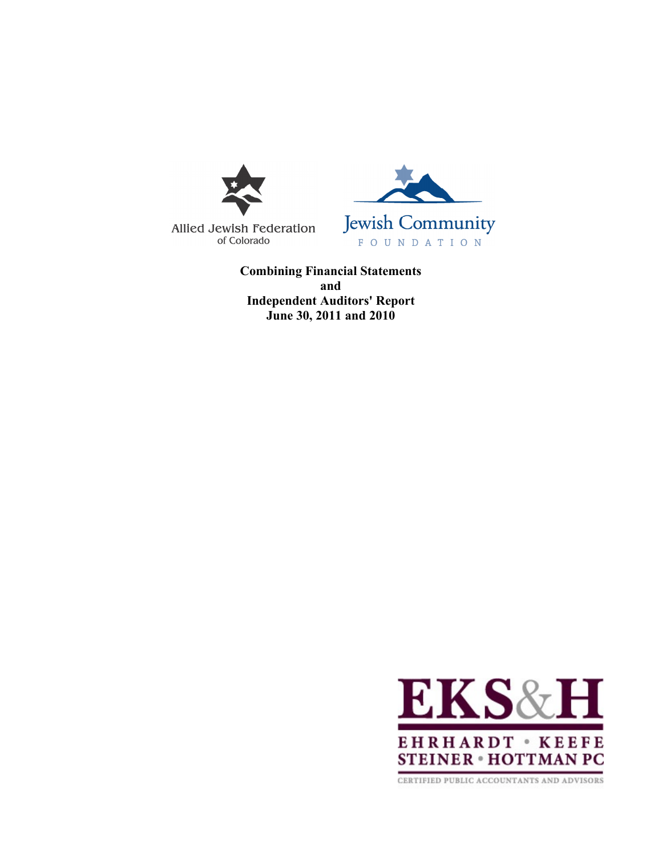

Allied Jewish Federation of Colorado



**Combining Financial Statements and Independent Auditors' Report June 30, 2011 and 2010**



CERTIFIED PUBLIC ACCOUNTANTS AND ADVISORS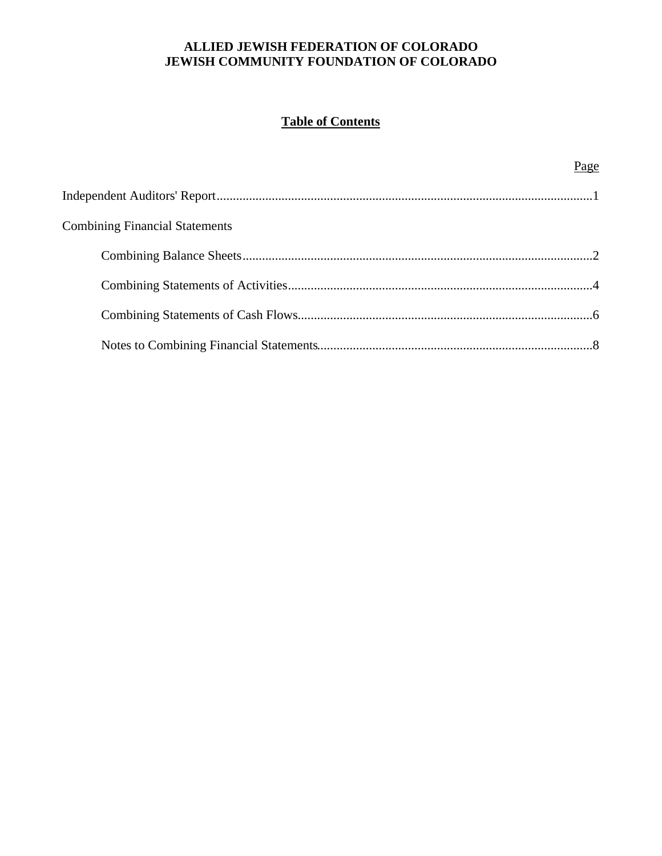# **Table of Contents**

|                                       | Page |
|---------------------------------------|------|
|                                       |      |
| <b>Combining Financial Statements</b> |      |
|                                       |      |
|                                       |      |
|                                       |      |
|                                       |      |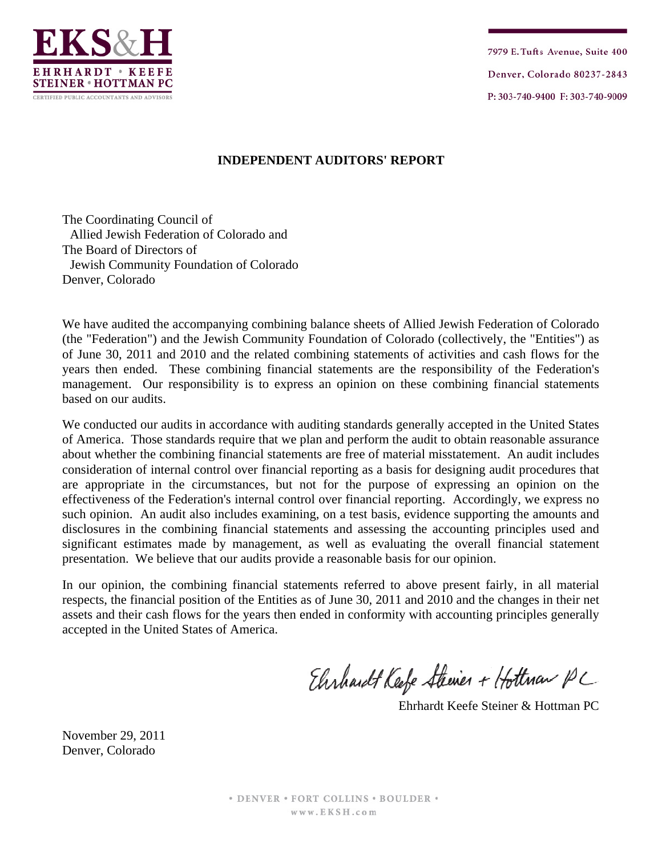

7979 E. Tufts Avenue, Suite 400 Denver, Colorado 80237-2843 P: 303-740-9400 F: 303-740-9009

## **INDEPENDENT AUDITORS' REPORT**

The Coordinating Council of Allied Jewish Federation of Colorado and The Board of Directors of Jewish Community Foundation of Colorado Denver, Colorado

We have audited the accompanying combining balance sheets of Allied Jewish Federation of Colorado (the "Federation") and the Jewish Community Foundation of Colorado (collectively, the "Entities") as of June 30, 2011 and 2010 and the related combining statements of activities and cash flows for the years then ended. These combining financial statements are the responsibility of the Federation's management. Our responsibility is to express an opinion on these combining financial statements based on our audits.

We conducted our audits in accordance with auditing standards generally accepted in the United States of America. Those standards require that we plan and perform the audit to obtain reasonable assurance about whether the combining financial statements are free of material misstatement. An audit includes consideration of internal control over financial reporting as a basis for designing audit procedures that are appropriate in the circumstances, but not for the purpose of expressing an opinion on the effectiveness of the Federation's internal control over financial reporting. Accordingly, we express no such opinion. An audit also includes examining, on a test basis, evidence supporting the amounts and disclosures in the combining financial statements and assessing the accounting principles used and significant estimates made by management, as well as evaluating the overall financial statement presentation. We believe that our audits provide a reasonable basis for our opinion.

In our opinion, the combining financial statements referred to above present fairly, in all material respects, the financial position of the Entities as of June 30, 2011 and 2010 and the changes in their net assets and their cash flows for the years then ended in conformity with accounting principles generally accepted in the United States of America.

Ehrhardt Keefe Steiner + Hottman PC

Ehrhardt Keefe Steiner & Hottman PC

November 29, 2011 Denver, Colorado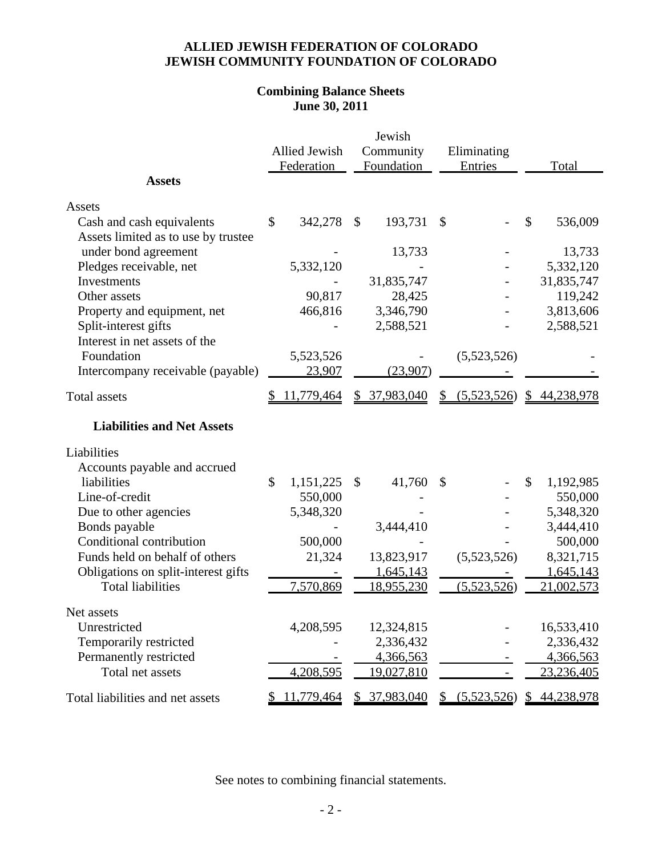# **Combining Balance Sheets June 30, 2011**

|                                     |                 |           | Jewish            |               |                             |       |              |  |
|-------------------------------------|-----------------|-----------|-------------------|---------------|-----------------------------|-------|--------------|--|
|                                     | Allied Jewish   | Community |                   |               | Eliminating                 |       |              |  |
|                                     | Federation      |           | Foundation        |               | Entries                     | Total |              |  |
| <b>Assets</b>                       |                 |           |                   |               |                             |       |              |  |
| Assets                              |                 |           |                   |               |                             |       |              |  |
| Cash and cash equivalents           | \$<br>342,278   | \$        | 193,731           | \$            |                             | \$    | 536,009      |  |
| Assets limited as to use by trustee |                 |           |                   |               |                             |       |              |  |
| under bond agreement                |                 |           | 13,733            |               |                             |       | 13,733       |  |
| Pledges receivable, net             | 5,332,120       |           |                   |               |                             |       | 5,332,120    |  |
| Investments                         |                 |           | 31,835,747        |               |                             |       | 31,835,747   |  |
| Other assets                        | 90,817          |           | 28,425            |               |                             |       | 119,242      |  |
| Property and equipment, net         | 466,816         |           | 3,346,790         |               |                             |       | 3,813,606    |  |
| Split-interest gifts                |                 |           | 2,588,521         |               |                             |       | 2,588,521    |  |
| Interest in net assets of the       |                 |           |                   |               |                             |       |              |  |
| Foundation                          | 5,523,526       |           |                   |               | (5,523,526)                 |       |              |  |
| Intercompany receivable (payable)   | 23,907          |           | (23,907)          |               |                             |       |              |  |
| <b>Total assets</b>                 | 11,779,464      |           | \$37,983,040      | $\mathcal{S}$ | $(5,523,526)$ \$ 44,238,978 |       |              |  |
| <b>Liabilities and Net Assets</b>   |                 |           |                   |               |                             |       |              |  |
| Liabilities                         |                 |           |                   |               |                             |       |              |  |
| Accounts payable and accrued        |                 |           |                   |               |                             |       |              |  |
| liabilities                         | \$<br>1,151,225 | \$        | 41,760            | \$            |                             | \$    | 1,192,985    |  |
| Line-of-credit                      | 550,000         |           |                   |               |                             |       | 550,000      |  |
| Due to other agencies               | 5,348,320       |           |                   |               |                             |       | 5,348,320    |  |
| Bonds payable                       |                 |           | 3,444,410         |               |                             |       | 3,444,410    |  |
| Conditional contribution            | 500,000         |           |                   |               |                             |       | 500,000      |  |
| Funds held on behalf of others      | 21,324          |           | 13,823,917        |               | (5,523,526)                 |       | 8,321,715    |  |
| Obligations on split-interest gifts |                 |           | 1,645,143         |               |                             |       | 1,645,143    |  |
| <b>Total liabilities</b>            | 7,570,869       |           | <u>18,955,230</u> |               | (5.523.526)                 |       | 21,002,573   |  |
| Net assets                          |                 |           |                   |               |                             |       |              |  |
| Unrestricted                        | 4,208,595       |           | 12,324,815        |               |                             |       | 16,533,410   |  |
| Temporarily restricted              |                 |           | 2,336,432         |               |                             |       | 2,336,432    |  |
| Permanently restricted              |                 |           | 4,366,563         |               |                             |       | 4,366,563    |  |
| Total net assets                    | 4,208,595       |           | 19,027,810        |               |                             |       | 23,236,405   |  |
| Total liabilities and net assets    | 11,779,464      |           | \$ 37,983,040     |               | \$ (5,523,526)              |       | \$44,238,978 |  |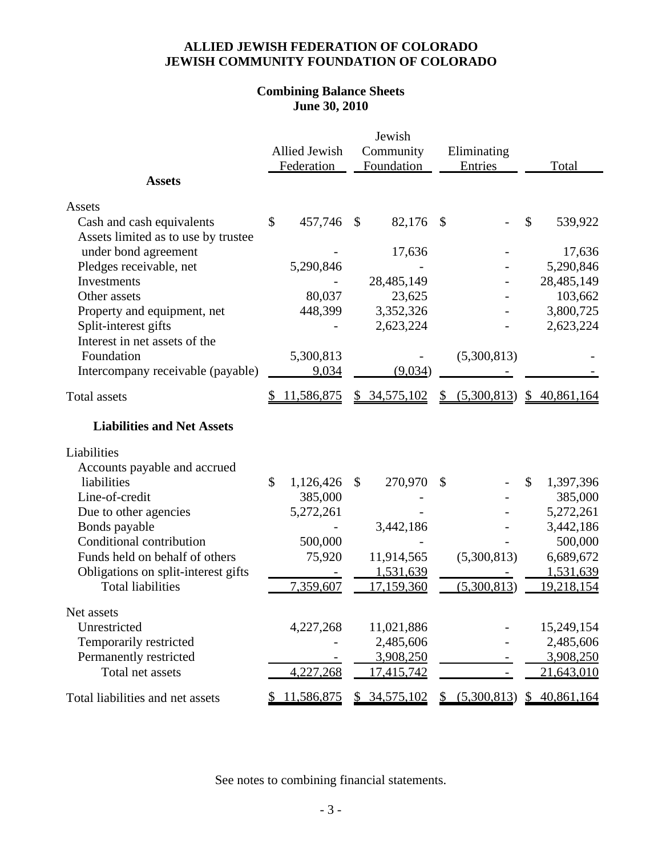# **Combining Balance Sheets June 30, 2010**

|                                     |                 |               | Jewish       |    |                |               |                   |  |
|-------------------------------------|-----------------|---------------|--------------|----|----------------|---------------|-------------------|--|
|                                     | Allied Jewish   | Community     |              |    | Eliminating    |               |                   |  |
|                                     | Federation      |               | Foundation   |    | Entries        | Total         |                   |  |
| <b>Assets</b>                       |                 |               |              |    |                |               |                   |  |
| Assets                              |                 |               |              |    |                |               |                   |  |
| Cash and cash equivalents           | \$<br>457,746   | $\mathcal{S}$ | 82,176       | \$ |                | \$            | 539,922           |  |
| Assets limited as to use by trustee |                 |               |              |    |                |               |                   |  |
| under bond agreement                |                 |               | 17,636       |    |                |               | 17,636            |  |
| Pledges receivable, net             | 5,290,846       |               |              |    |                |               | 5,290,846         |  |
| Investments                         |                 |               | 28,485,149   |    |                |               | 28,485,149        |  |
| Other assets                        | 80,037          |               | 23,625       |    |                |               | 103,662           |  |
| Property and equipment, net         | 448,399         |               | 3,352,326    |    |                |               | 3,800,725         |  |
| Split-interest gifts                |                 |               | 2,623,224    |    |                |               | 2,623,224         |  |
| Interest in net assets of the       |                 |               |              |    |                |               |                   |  |
| Foundation                          | 5,300,813       |               |              |    | (5,300,813)    |               |                   |  |
| Intercompany receivable (payable)   | 9,034           |               | (9,034)      |    |                |               |                   |  |
| <b>Total assets</b>                 | 11,586,875      |               | \$34,575,102 | \$ | (5,300,813)    |               | \$40,861,164      |  |
| <b>Liabilities and Net Assets</b>   |                 |               |              |    |                |               |                   |  |
| Liabilities                         |                 |               |              |    |                |               |                   |  |
| Accounts payable and accrued        |                 |               |              |    |                |               |                   |  |
| liabilities                         | \$<br>1,126,426 | \$            | 270,970      | \$ |                | $\mathcal{S}$ | 1,397,396         |  |
| Line-of-credit                      | 385,000         |               |              |    |                |               | 385,000           |  |
| Due to other agencies               | 5,272,261       |               |              |    |                |               | 5,272,261         |  |
| Bonds payable                       |                 |               | 3,442,186    |    |                |               | 3,442,186         |  |
| Conditional contribution            | 500,000         |               |              |    |                |               | 500,000           |  |
| Funds held on behalf of others      | 75,920          |               | 11,914,565   |    | (5,300,813)    |               | 6,689,672         |  |
| Obligations on split-interest gifts |                 |               | 1,531,639    |    |                |               | 1,531,639         |  |
| <b>Total liabilities</b>            | 7,359,607       |               | 17,159,360   |    | (5,300,813)    |               | <u>19,218,154</u> |  |
| Net assets                          |                 |               |              |    |                |               |                   |  |
| Unrestricted                        | 4,227,268       |               | 11,021,886   |    |                |               | 15,249,154        |  |
| Temporarily restricted              |                 |               | 2,485,606    |    |                |               | 2,485,606         |  |
| Permanently restricted              |                 |               | 3,908,250    |    |                |               | 3,908,250         |  |
| Total net assets                    | 4,227,268       |               | 17,415,742   |    |                |               | 21,643,010        |  |
| Total liabilities and net assets    | 11,586,875      |               | \$34,575,102 |    | \$ (5,300,813) |               | \$40,861,164      |  |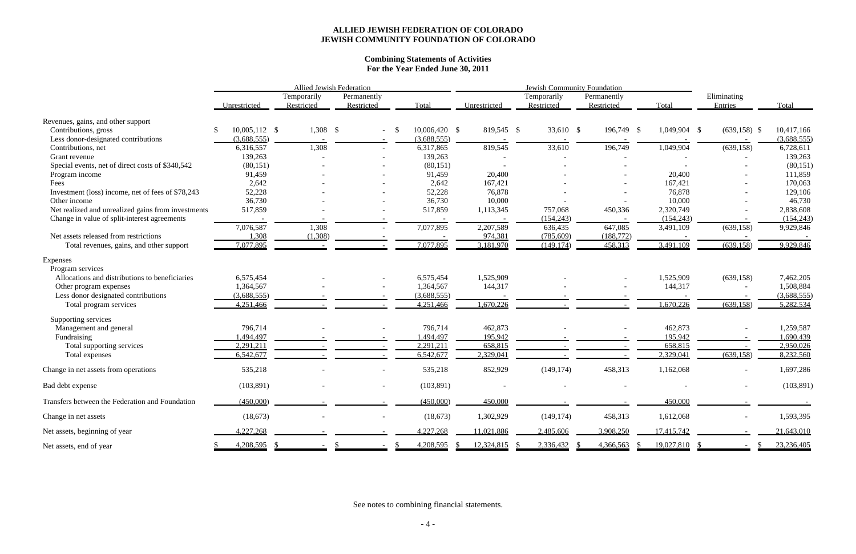#### **Combining Statements of Activities For the Year Ended June 30, 2011**

|                                                    |                 | Allied Jewish Federation  |                           |       |                 |              | <b>Jewish Community Foundation</b> |                           |              |                          |             |
|----------------------------------------------------|-----------------|---------------------------|---------------------------|-------|-----------------|--------------|------------------------------------|---------------------------|--------------|--------------------------|-------------|
|                                                    | Unrestricted    | Temporarily<br>Restricted | Permanently<br>Restricted | Total |                 | Unrestricted | Temporarily<br>Restricted          | Permanently<br>Restricted | Total        | Eliminating<br>Entries   | Total       |
| Revenues, gains, and other support                 |                 |                           |                           |       |                 |              |                                    |                           |              |                          |             |
| Contributions, gross                               | $10,005,112$ \$ | $1,308$ \$                |                           |       | $10,006,420$ \$ | 819,545 \$   | 33,610 \$                          | 196,749 \$                | 1,049,904 \$ | $(639, 158)$ \$          | 10,417,166  |
| Less donor-designated contributions                | (3,688,555)     |                           |                           |       | (3,688,555)     |              |                                    |                           |              |                          | (3,688,555) |
| Contributions, net                                 | 6,316,557       | 1,308                     |                           |       | 6,317,865       | 819,545      | 33,610                             | 196,749                   | 1,049,904    | (639, 158)               | 6,728,611   |
| Grant revenue                                      | 139,263         |                           |                           |       | 139,263         |              |                                    |                           |              |                          | 139,263     |
| Special events, net of direct costs of \$340,542   | (80, 151)       |                           |                           |       | (80, 151)       |              |                                    |                           |              |                          | (80, 151)   |
| Program income                                     | 91,459          |                           |                           |       | 91,459          | 20,400       |                                    |                           | 20,400       |                          | 111,859     |
| Fees                                               | 2,642           |                           |                           |       | 2,642           | 167,421      |                                    |                           | 167,421      |                          | 170,063     |
| Investment (loss) income, net of fees of \$78,243  | 52,228          |                           |                           |       | 52,228          | 76,878       |                                    |                           | 76,878       |                          | 129,106     |
| Other income                                       | 36,730          |                           |                           |       | 36,730          | 10,000       |                                    |                           | 10,000       |                          | 46,730      |
| Net realized and unrealized gains from investments | 517,859         |                           |                           |       | 517,859         | 1,113,345    | 757,068                            | 450,336                   | 2,320,749    |                          | 2,838,608   |
| Change in value of split-interest agreements       |                 |                           |                           |       |                 |              | (154, 243)                         |                           | (154, 243)   |                          | (154, 243)  |
|                                                    | 7,076,587       | 1,308                     |                           |       | 7,077,895       | 2,207,589    | 636,435                            | 647,085                   | 3,491,109    | (639, 158)               | 9,929,846   |
| Net assets released from restrictions              | 1,308           | (1,308)                   |                           |       |                 | 974,381      | (785,609)                          | (188, 772)                |              |                          |             |
| Total revenues, gains, and other support           | 7,077,895       |                           |                           |       | 7,077,895       | 3,181,970    | (149, 174)                         | 458,313                   | 3,491,109    | (639, 158)               | 9,929,846   |
| Expenses                                           |                 |                           |                           |       |                 |              |                                    |                           |              |                          |             |
| Program services                                   |                 |                           |                           |       |                 |              |                                    |                           |              |                          |             |
| Allocations and distributions to beneficiaries     | 6,575,454       |                           |                           |       | 6,575,454       | 1,525,909    |                                    |                           | 1,525,909    | (639, 158)               | 7,462,205   |
| Other program expenses                             | 1,364,567       |                           |                           |       | 1,364,567       | 144,317      |                                    |                           | 144,317      |                          | 1,508,884   |
| Less donor designated contributions                | (3,688,555)     |                           |                           |       | (3,688,555)     |              |                                    |                           |              |                          | (3,688,555) |
| Total program services                             | 4,251,466       |                           |                           |       | 4,251,466       | 1,670,226    |                                    |                           | 1,670,226    | (639, 158)               | 5,282,534   |
| Supporting services                                |                 |                           |                           |       |                 |              |                                    |                           |              |                          |             |
| Management and general                             | 796,714         |                           |                           |       | 796,714         | 462,873      |                                    |                           | 462,873      |                          | 1,259,587   |
| Fundraising                                        | 1,494,497       |                           |                           |       | ,494,497        | 195,942      |                                    |                           | 195,942      |                          | ,690,439    |
| Total supporting services                          | 2,291,211       |                           |                           |       | 2,291,211       | 658,815      |                                    |                           | 658,815      |                          | 2,950,026   |
| Total expenses                                     | 6,542,677       |                           |                           |       | 6,542,677       | 2,329,041    |                                    |                           | 2,329,041    | (639, 158)               | 8,232,560   |
| Change in net assets from operations               | 535,218         |                           |                           |       | 535,218         | 852,929      | (149, 174)                         | 458,313                   | 1,162,068    |                          | 1,697,286   |
| Bad debt expense                                   | (103, 891)      |                           |                           |       | (103, 891)      |              |                                    |                           |              |                          | (103, 891)  |
| Transfers between the Federation and Foundation    | (450,000)       |                           |                           |       | (450,000)       | 450,000      |                                    |                           | 450,000      |                          |             |
| Change in net assets                               | (18, 673)       |                           | $\overline{\phantom{a}}$  |       | (18, 673)       | 1,302,929    | (149, 174)                         | 458,313                   | 1,612,068    | $\overline{\phantom{a}}$ | 1,593,395   |
| Net assets, beginning of year                      | 4,227,268       |                           |                           |       | 4,227,268       | 11,021,886   | 2,485,606                          | 3,908,250                 | 17,415,742   |                          | 21,643,010  |
| Net assets, end of year                            | 4,208,595       |                           |                           |       | 4,208,595       | 12,324,815   | 2,336,432                          | 4,366,563                 | 19,027,810   |                          | 23,236,405  |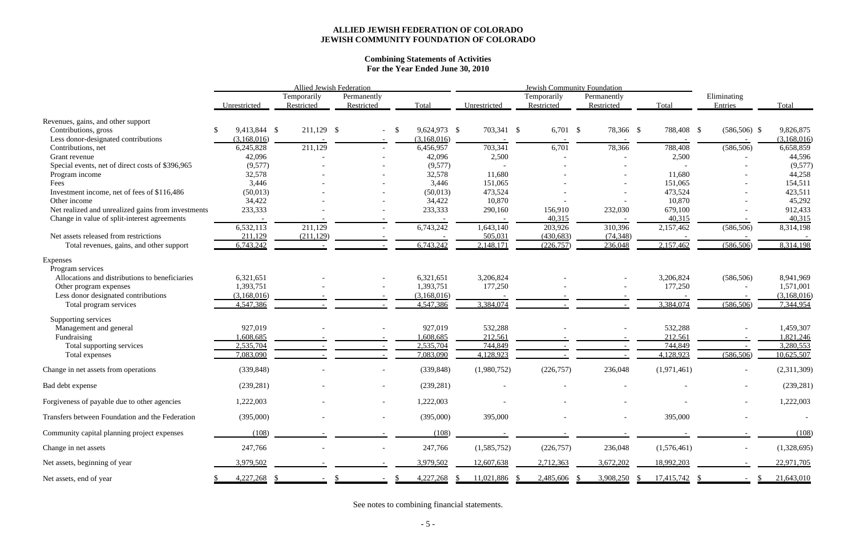#### **Combining Statements of Activities For the Year Ended June 30, 2010**

|                                                    |              |                           | Allied Jewish Federation  |    |              | <b>Jewish Community Foundation</b> |  |                           |                           |             |            |                          |             |
|----------------------------------------------------|--------------|---------------------------|---------------------------|----|--------------|------------------------------------|--|---------------------------|---------------------------|-------------|------------|--------------------------|-------------|
|                                                    | Unrestricted | Temporarily<br>Restricted | Permanently<br>Restricted |    | Total        | Unrestricted                       |  | Temporarily<br>Restricted | Permanently<br>Restricted | Total       |            | Eliminating<br>Entries   | Total       |
| Revenues, gains, and other support                 |              |                           |                           |    |              |                                    |  |                           |                           |             |            |                          |             |
| Contributions, gross                               | 9,413,844 \$ | $211,129$ \$              |                           | -S | 9,624,973 \$ | 703,341 \$                         |  | $6,701$ \$                | 78,366 \$                 |             | 788,408 \$ | $(586,506)$ \$           | 9,826,875   |
| Less donor-designated contributions                | (3,168,016)  |                           |                           |    | (3,168,016)  |                                    |  |                           |                           |             |            |                          | (3,168,016) |
| Contributions, net                                 | 6,245,828    | 211,129                   |                           |    | 6,456,957    | 703,341                            |  | 6,701                     | 78,366                    | 788,408     |            | (586, 506)               | 6,658,859   |
| Grant revenue                                      | 42,096       |                           |                           |    | 42,096       | 2,500                              |  |                           |                           |             | 2,500      |                          | 44,596      |
| Special events, net of direct costs of \$396,965   | (9,577)      |                           |                           |    | (9,577)      |                                    |  |                           |                           |             |            |                          | (9,577)     |
| Program income                                     | 32,578       |                           |                           |    | 32,578       | 11,680                             |  |                           |                           | 11,680      |            |                          | 44,258      |
| Fees                                               | 3,446        |                           |                           |    | 3,446        | 151,065                            |  |                           |                           | 151,065     |            |                          | 154,511     |
| Investment income, net of fees of \$116,486        | (50, 013)    |                           |                           |    | (50,013)     | 473,524                            |  |                           |                           | 473,524     |            |                          | 423,511     |
| Other income                                       | 34,422       |                           |                           |    | 34,422       | 10,870                             |  |                           |                           | 10,870      |            |                          | 45,292      |
| Net realized and unrealized gains from investments | 233,333      |                           |                           |    | 233,333      | 290,160                            |  | 156,910                   | 232,030                   | 679,100     |            |                          | 912,433     |
| Change in value of split-interest agreements       |              |                           |                           |    |              |                                    |  | 40,315                    |                           | 40,315      |            |                          | 40,315      |
|                                                    | 6,532,113    | 211,129                   |                           |    | 6,743,242    | 1,643,140                          |  | 203,926                   | 310,396                   | 2,157,462   |            | (586, 506)               | 8,314,198   |
| Net assets released from restrictions              | 211,129      | (211, 129)                |                           |    |              | 505,031                            |  | (430, 683)                | (74, 348)                 |             |            |                          |             |
| Total revenues, gains, and other support           | 6,743,242    |                           |                           |    | 6,743,242    | 2,148,171                          |  | (226, 757)                | 236,048                   | 2,157,462   |            | (586, 506)               | 8,314,198   |
| Expenses                                           |              |                           |                           |    |              |                                    |  |                           |                           |             |            |                          |             |
| Program services                                   |              |                           |                           |    |              |                                    |  |                           |                           |             |            |                          |             |
| Allocations and distributions to beneficiaries     | 6,321,651    |                           |                           |    | 6,321,651    | 3,206,824                          |  |                           |                           | 3,206,824   |            | (586, 506)               | 8,941,969   |
| Other program expenses                             | 1,393,751    |                           |                           |    | 1,393,751    | 177,250                            |  |                           |                           | 177,250     |            |                          | 1,571,001   |
| Less donor designated contributions                | (3,168,016)  |                           |                           |    | (3,168,016)  |                                    |  |                           |                           |             |            |                          | (3,168,016) |
| Total program services                             | 4,547,386    |                           |                           |    | 4,547,386    | 3,384,074                          |  |                           |                           | 3,384,074   |            | (586, 506)               | 7,344,954   |
| Supporting services                                |              |                           |                           |    |              |                                    |  |                           |                           |             |            |                          |             |
| Management and general                             | 927,019      |                           |                           |    | 927,019      | 532,288                            |  |                           |                           | 532,288     |            |                          | 1,459,307   |
| Fundraising                                        | ,608,685     |                           |                           |    | ,608,685     | 212,561                            |  |                           |                           | 212,561     |            |                          | 821,246     |
| Total supporting services                          | 2,535,704    |                           |                           |    | 2,535,704    | 744,849                            |  |                           |                           | 744,849     |            |                          | 3,280,553   |
| Total expenses                                     | 7,083,090    |                           |                           |    | 7,083,090    | 4,128,923                          |  |                           |                           | 4,128,923   |            | (586, 506)               | 10,625,507  |
|                                                    |              |                           |                           |    |              |                                    |  |                           |                           |             |            |                          |             |
| Change in net assets from operations               | (339, 848)   |                           |                           |    | (339, 848)   | (1,980,752)                        |  | (226, 757)                | 236,048                   | (1,971,461) |            |                          | (2,311,309) |
| Bad debt expense                                   | (239, 281)   |                           |                           |    | (239, 281)   |                                    |  |                           |                           |             |            |                          | (239, 281)  |
| Forgiveness of payable due to other agencies       | 1,222,003    |                           |                           |    | 1,222,003    |                                    |  |                           |                           |             |            | $\overline{\phantom{a}}$ | 1,222,003   |
| Transfers between Foundation and the Federation    | (395,000)    |                           |                           |    | (395,000)    | 395,000                            |  |                           |                           | 395,000     |            |                          |             |
| Community capital planning project expenses        | (108)        |                           |                           |    | (108)        |                                    |  |                           |                           |             |            |                          | (108)       |
| Change in net assets                               | 247,766      |                           | $\overline{\phantom{a}}$  |    | 247,766      | (1,585,752)                        |  | (226,757)                 | 236,048                   | (1,576,461) |            | $\overline{\phantom{a}}$ | (1,328,695) |
| Net assets, beginning of year                      | 3,979,502    |                           |                           |    | 3,979,502    | 12,607,638                         |  | 2,712,363                 | 3,672,202                 | 18,992,203  |            |                          | 22,971,705  |
|                                                    |              |                           |                           |    | 4,227,268    | 11,021,886                         |  | 2,485,606                 | 3,908,250                 | 17,415,742  |            |                          |             |
| Net assets, end of year                            | 4,227,268    |                           |                           |    |              |                                    |  |                           |                           |             |            |                          | 21,643,010  |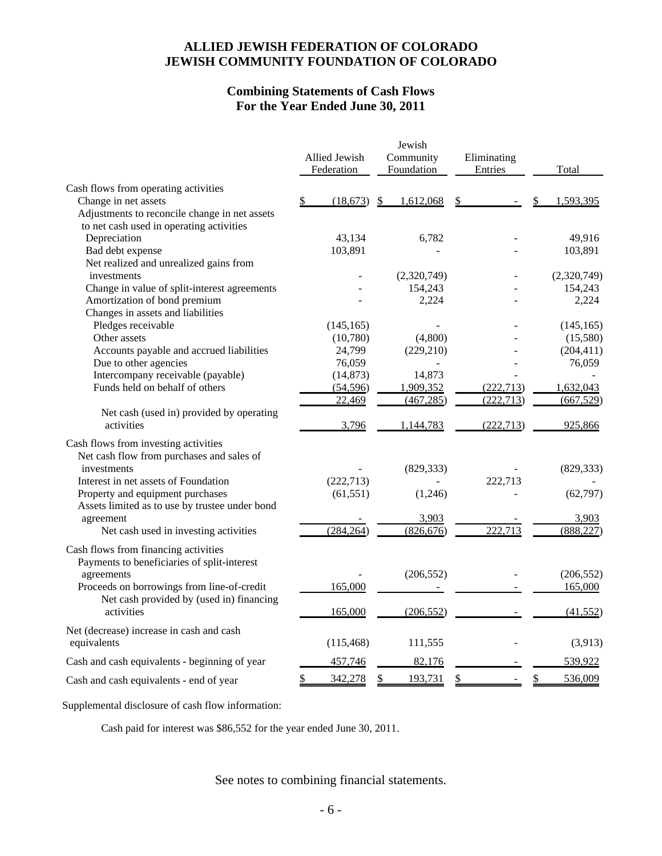## **Combining Statements of Cash Flows For the Year Ended June 30, 2011**

|                                                |    | Allied Jewish | Jewish<br>Community |             |    | Eliminating |               |
|------------------------------------------------|----|---------------|---------------------|-------------|----|-------------|---------------|
|                                                |    | Federation    |                     | Foundation  |    | Entries     | Total         |
| Cash flows from operating activities           |    |               |                     |             |    |             |               |
| Change in net assets                           | S. | (18,673)      | \$                  | 1,612,068   | S  |             | 1,593,395     |
| Adjustments to reconcile change in net assets  |    |               |                     |             |    |             |               |
| to net cash used in operating activities       |    |               |                     |             |    |             |               |
| Depreciation                                   |    | 43,134        |                     | 6,782       |    |             | 49,916        |
| Bad debt expense                               |    | 103,891       |                     |             |    |             | 103,891       |
| Net realized and unrealized gains from         |    |               |                     |             |    |             |               |
| investments                                    |    |               |                     | (2,320,749) |    |             | (2,320,749)   |
| Change in value of split-interest agreements   |    |               |                     | 154,243     |    |             | 154,243       |
| Amortization of bond premium                   |    |               |                     | 2,224       |    |             | 2,224         |
| Changes in assets and liabilities              |    |               |                     |             |    |             |               |
| Pledges receivable                             |    | (145, 165)    |                     |             |    |             | (145, 165)    |
| Other assets                                   |    | (10,780)      |                     | (4,800)     |    |             | (15,580)      |
| Accounts payable and accrued liabilities       |    | 24,799        |                     | (229, 210)  |    |             | (204, 411)    |
| Due to other agencies                          |    | 76,059        |                     |             |    |             | 76,059        |
| Intercompany receivable (payable)              |    | (14, 873)     |                     | 14,873      |    |             |               |
| Funds held on behalf of others                 |    | (54, 596)     |                     | 1,909,352   |    | (222, 713)  | 1,632,043     |
|                                                |    | 22,469        |                     | (467, 285)  |    | (222, 713)  | (667, 529)    |
| Net cash (used in) provided by operating       |    |               |                     |             |    |             |               |
| activities                                     |    | 3,796         |                     | 1,144,783   |    | (222, 713)  | 925,866       |
| Cash flows from investing activities           |    |               |                     |             |    |             |               |
| Net cash flow from purchases and sales of      |    |               |                     |             |    |             |               |
| investments                                    |    |               |                     | (829, 333)  |    |             | (829, 333)    |
| Interest in net assets of Foundation           |    | (222, 713)    |                     |             |    | 222,713     |               |
| Property and equipment purchases               |    | (61, 551)     |                     | (1,246)     |    |             | (62, 797)     |
| Assets limited as to use by trustee under bond |    |               |                     |             |    |             |               |
| agreement                                      |    |               |                     | 3,903       |    |             | 3,903         |
| Net cash used in investing activities          |    | (284, 264)    |                     | (826, 676)  |    | 222,713     | (888, 227)    |
|                                                |    |               |                     |             |    |             |               |
| Cash flows from financing activities           |    |               |                     |             |    |             |               |
| Payments to beneficiaries of split-interest    |    |               |                     |             |    |             |               |
| agreements                                     |    |               |                     | (206, 552)  |    |             | (206, 552)    |
| Proceeds on borrowings from line-of-credit     |    | 165,000       |                     |             |    |             | 165,000       |
| Net cash provided by (used in) financing       |    |               |                     |             |    |             |               |
| activities                                     |    | 165,000       |                     | (206, 552)  |    |             | (41, 552)     |
| Net (decrease) increase in cash and cash       |    |               |                     |             |    |             |               |
| equivalents                                    |    | (115, 468)    |                     | 111,555     |    |             | (3,913)       |
| Cash and cash equivalents - beginning of year  |    | 457,746       |                     | 82,176      |    |             | 539,922       |
| Cash and cash equivalents - end of year        | \$ | 342,278       | \$                  | 193,731     | \$ |             | \$<br>536,009 |
|                                                |    |               |                     |             |    |             |               |

Supplemental disclosure of cash flow information:

Cash paid for interest was \$86,552 for the year ended June 30, 2011.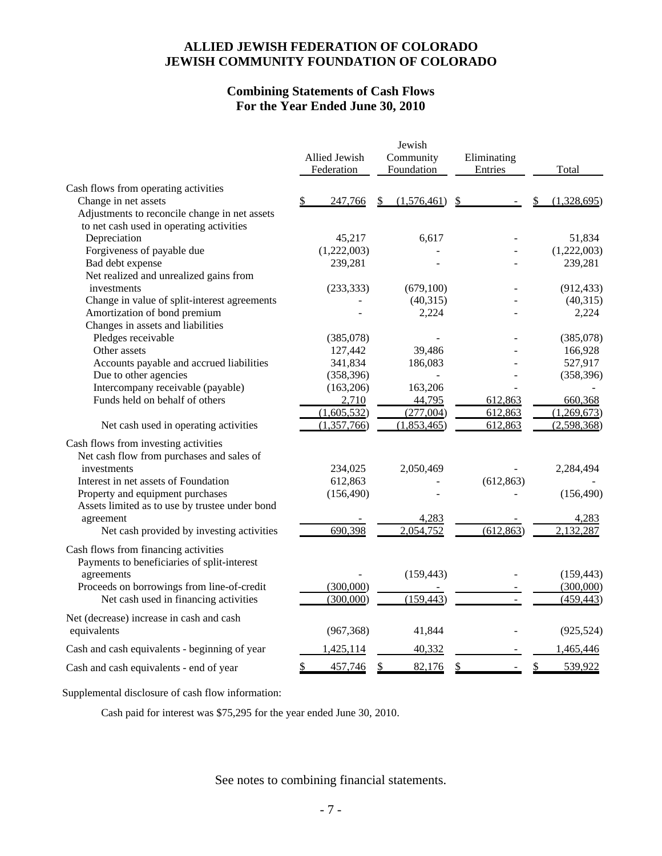## **Combining Statements of Cash Flows For the Year Ended June 30, 2010**

| Cash flows from operating activities<br>Change in net assets<br>247,766<br>(1,576,461)<br>\$<br>(1,328,695)<br>\$<br>\$.<br>Adjustments to reconcile change in net assets<br>to net cash used in operating activities<br>Depreciation<br>45,217<br>51,834<br>6,617<br>Forgiveness of payable due<br>(1,222,003)<br>(1,222,003)<br>Bad debt expense<br>239,281<br>239,281<br>Net realized and unrealized gains from<br>investments<br>(233, 333)<br>(679, 100)<br>(912, 433)<br>Change in value of split-interest agreements<br>(40, 315)<br>(40, 315)<br>Amortization of bond premium<br>2,224<br>2,224<br>Changes in assets and liabilities<br>Pledges receivable<br>(385,078)<br>(385,078)<br>Other assets<br>127,442<br>39,486<br>166,928<br>Accounts payable and accrued liabilities<br>341,834<br>186,083<br>527,917<br>Due to other agencies<br>(358, 396)<br>(358, 396)<br>Intercompany receivable (payable)<br>(163, 206)<br>163,206<br>Funds held on behalf of others<br>2,710<br>44,795<br>612,863<br>660,368<br>(1,605,532)<br>(1,269,673)<br>(277,004)<br>612,863<br>(1,357,766)<br>(2,598,368)<br>(1,853,465)<br>612,863<br>Net cash used in operating activities<br>Cash flows from investing activities<br>Net cash flow from purchases and sales of<br>234,025<br>investments<br>2,050,469<br>2,284,494<br>Interest in net assets of Foundation<br>612,863<br>(612, 863)<br>Property and equipment purchases<br>(156, 490)<br>(156, 490)<br>Assets limited as to use by trustee under bond<br>agreement<br>4,283<br>4,283<br>690,398<br>2,132,287<br>2,054,752<br>(612, 863)<br>Net cash provided by investing activities<br>Cash flows from financing activities<br>Payments to beneficiaries of split-interest<br>agreements<br>(159, 443)<br>(159, 443)<br>(300,000)<br>Proceeds on borrowings from line-of-credit<br>(300,000)<br>Net cash used in financing activities<br>(159, 443)<br>(300,000)<br>(459, 443)<br>Net (decrease) increase in cash and cash<br>equivalents<br>(925, 524)<br>(967, 368)<br>41,844<br>1,465,446<br>Cash and cash equivalents - beginning of year<br><u>1,425,114</u><br>40,332<br>539,922<br>\$<br>457,746<br>82,176<br>\$.<br>\$<br>\$<br>Cash and cash equivalents - end of year |  | Allied Jewish<br>Federation | Jewish<br>Community<br>Foundation |  | Eliminating<br>Entries |  | Total |
|---------------------------------------------------------------------------------------------------------------------------------------------------------------------------------------------------------------------------------------------------------------------------------------------------------------------------------------------------------------------------------------------------------------------------------------------------------------------------------------------------------------------------------------------------------------------------------------------------------------------------------------------------------------------------------------------------------------------------------------------------------------------------------------------------------------------------------------------------------------------------------------------------------------------------------------------------------------------------------------------------------------------------------------------------------------------------------------------------------------------------------------------------------------------------------------------------------------------------------------------------------------------------------------------------------------------------------------------------------------------------------------------------------------------------------------------------------------------------------------------------------------------------------------------------------------------------------------------------------------------------------------------------------------------------------------------------------------------------------------------------------------------------------------------------------------------------------------------------------------------------------------------------------------------------------------------------------------------------------------------------------------------------------------------------------------------------------------------------------------------------------------------------------------------------------------------------------------------------------------|--|-----------------------------|-----------------------------------|--|------------------------|--|-------|
|                                                                                                                                                                                                                                                                                                                                                                                                                                                                                                                                                                                                                                                                                                                                                                                                                                                                                                                                                                                                                                                                                                                                                                                                                                                                                                                                                                                                                                                                                                                                                                                                                                                                                                                                                                                                                                                                                                                                                                                                                                                                                                                                                                                                                                       |  |                             |                                   |  |                        |  |       |
|                                                                                                                                                                                                                                                                                                                                                                                                                                                                                                                                                                                                                                                                                                                                                                                                                                                                                                                                                                                                                                                                                                                                                                                                                                                                                                                                                                                                                                                                                                                                                                                                                                                                                                                                                                                                                                                                                                                                                                                                                                                                                                                                                                                                                                       |  |                             |                                   |  |                        |  |       |
|                                                                                                                                                                                                                                                                                                                                                                                                                                                                                                                                                                                                                                                                                                                                                                                                                                                                                                                                                                                                                                                                                                                                                                                                                                                                                                                                                                                                                                                                                                                                                                                                                                                                                                                                                                                                                                                                                                                                                                                                                                                                                                                                                                                                                                       |  |                             |                                   |  |                        |  |       |
|                                                                                                                                                                                                                                                                                                                                                                                                                                                                                                                                                                                                                                                                                                                                                                                                                                                                                                                                                                                                                                                                                                                                                                                                                                                                                                                                                                                                                                                                                                                                                                                                                                                                                                                                                                                                                                                                                                                                                                                                                                                                                                                                                                                                                                       |  |                             |                                   |  |                        |  |       |
|                                                                                                                                                                                                                                                                                                                                                                                                                                                                                                                                                                                                                                                                                                                                                                                                                                                                                                                                                                                                                                                                                                                                                                                                                                                                                                                                                                                                                                                                                                                                                                                                                                                                                                                                                                                                                                                                                                                                                                                                                                                                                                                                                                                                                                       |  |                             |                                   |  |                        |  |       |
|                                                                                                                                                                                                                                                                                                                                                                                                                                                                                                                                                                                                                                                                                                                                                                                                                                                                                                                                                                                                                                                                                                                                                                                                                                                                                                                                                                                                                                                                                                                                                                                                                                                                                                                                                                                                                                                                                                                                                                                                                                                                                                                                                                                                                                       |  |                             |                                   |  |                        |  |       |
|                                                                                                                                                                                                                                                                                                                                                                                                                                                                                                                                                                                                                                                                                                                                                                                                                                                                                                                                                                                                                                                                                                                                                                                                                                                                                                                                                                                                                                                                                                                                                                                                                                                                                                                                                                                                                                                                                                                                                                                                                                                                                                                                                                                                                                       |  |                             |                                   |  |                        |  |       |
|                                                                                                                                                                                                                                                                                                                                                                                                                                                                                                                                                                                                                                                                                                                                                                                                                                                                                                                                                                                                                                                                                                                                                                                                                                                                                                                                                                                                                                                                                                                                                                                                                                                                                                                                                                                                                                                                                                                                                                                                                                                                                                                                                                                                                                       |  |                             |                                   |  |                        |  |       |
|                                                                                                                                                                                                                                                                                                                                                                                                                                                                                                                                                                                                                                                                                                                                                                                                                                                                                                                                                                                                                                                                                                                                                                                                                                                                                                                                                                                                                                                                                                                                                                                                                                                                                                                                                                                                                                                                                                                                                                                                                                                                                                                                                                                                                                       |  |                             |                                   |  |                        |  |       |
|                                                                                                                                                                                                                                                                                                                                                                                                                                                                                                                                                                                                                                                                                                                                                                                                                                                                                                                                                                                                                                                                                                                                                                                                                                                                                                                                                                                                                                                                                                                                                                                                                                                                                                                                                                                                                                                                                                                                                                                                                                                                                                                                                                                                                                       |  |                             |                                   |  |                        |  |       |
|                                                                                                                                                                                                                                                                                                                                                                                                                                                                                                                                                                                                                                                                                                                                                                                                                                                                                                                                                                                                                                                                                                                                                                                                                                                                                                                                                                                                                                                                                                                                                                                                                                                                                                                                                                                                                                                                                                                                                                                                                                                                                                                                                                                                                                       |  |                             |                                   |  |                        |  |       |
|                                                                                                                                                                                                                                                                                                                                                                                                                                                                                                                                                                                                                                                                                                                                                                                                                                                                                                                                                                                                                                                                                                                                                                                                                                                                                                                                                                                                                                                                                                                                                                                                                                                                                                                                                                                                                                                                                                                                                                                                                                                                                                                                                                                                                                       |  |                             |                                   |  |                        |  |       |
|                                                                                                                                                                                                                                                                                                                                                                                                                                                                                                                                                                                                                                                                                                                                                                                                                                                                                                                                                                                                                                                                                                                                                                                                                                                                                                                                                                                                                                                                                                                                                                                                                                                                                                                                                                                                                                                                                                                                                                                                                                                                                                                                                                                                                                       |  |                             |                                   |  |                        |  |       |
|                                                                                                                                                                                                                                                                                                                                                                                                                                                                                                                                                                                                                                                                                                                                                                                                                                                                                                                                                                                                                                                                                                                                                                                                                                                                                                                                                                                                                                                                                                                                                                                                                                                                                                                                                                                                                                                                                                                                                                                                                                                                                                                                                                                                                                       |  |                             |                                   |  |                        |  |       |
|                                                                                                                                                                                                                                                                                                                                                                                                                                                                                                                                                                                                                                                                                                                                                                                                                                                                                                                                                                                                                                                                                                                                                                                                                                                                                                                                                                                                                                                                                                                                                                                                                                                                                                                                                                                                                                                                                                                                                                                                                                                                                                                                                                                                                                       |  |                             |                                   |  |                        |  |       |
|                                                                                                                                                                                                                                                                                                                                                                                                                                                                                                                                                                                                                                                                                                                                                                                                                                                                                                                                                                                                                                                                                                                                                                                                                                                                                                                                                                                                                                                                                                                                                                                                                                                                                                                                                                                                                                                                                                                                                                                                                                                                                                                                                                                                                                       |  |                             |                                   |  |                        |  |       |
|                                                                                                                                                                                                                                                                                                                                                                                                                                                                                                                                                                                                                                                                                                                                                                                                                                                                                                                                                                                                                                                                                                                                                                                                                                                                                                                                                                                                                                                                                                                                                                                                                                                                                                                                                                                                                                                                                                                                                                                                                                                                                                                                                                                                                                       |  |                             |                                   |  |                        |  |       |
|                                                                                                                                                                                                                                                                                                                                                                                                                                                                                                                                                                                                                                                                                                                                                                                                                                                                                                                                                                                                                                                                                                                                                                                                                                                                                                                                                                                                                                                                                                                                                                                                                                                                                                                                                                                                                                                                                                                                                                                                                                                                                                                                                                                                                                       |  |                             |                                   |  |                        |  |       |
|                                                                                                                                                                                                                                                                                                                                                                                                                                                                                                                                                                                                                                                                                                                                                                                                                                                                                                                                                                                                                                                                                                                                                                                                                                                                                                                                                                                                                                                                                                                                                                                                                                                                                                                                                                                                                                                                                                                                                                                                                                                                                                                                                                                                                                       |  |                             |                                   |  |                        |  |       |
|                                                                                                                                                                                                                                                                                                                                                                                                                                                                                                                                                                                                                                                                                                                                                                                                                                                                                                                                                                                                                                                                                                                                                                                                                                                                                                                                                                                                                                                                                                                                                                                                                                                                                                                                                                                                                                                                                                                                                                                                                                                                                                                                                                                                                                       |  |                             |                                   |  |                        |  |       |
|                                                                                                                                                                                                                                                                                                                                                                                                                                                                                                                                                                                                                                                                                                                                                                                                                                                                                                                                                                                                                                                                                                                                                                                                                                                                                                                                                                                                                                                                                                                                                                                                                                                                                                                                                                                                                                                                                                                                                                                                                                                                                                                                                                                                                                       |  |                             |                                   |  |                        |  |       |
|                                                                                                                                                                                                                                                                                                                                                                                                                                                                                                                                                                                                                                                                                                                                                                                                                                                                                                                                                                                                                                                                                                                                                                                                                                                                                                                                                                                                                                                                                                                                                                                                                                                                                                                                                                                                                                                                                                                                                                                                                                                                                                                                                                                                                                       |  |                             |                                   |  |                        |  |       |
|                                                                                                                                                                                                                                                                                                                                                                                                                                                                                                                                                                                                                                                                                                                                                                                                                                                                                                                                                                                                                                                                                                                                                                                                                                                                                                                                                                                                                                                                                                                                                                                                                                                                                                                                                                                                                                                                                                                                                                                                                                                                                                                                                                                                                                       |  |                             |                                   |  |                        |  |       |
|                                                                                                                                                                                                                                                                                                                                                                                                                                                                                                                                                                                                                                                                                                                                                                                                                                                                                                                                                                                                                                                                                                                                                                                                                                                                                                                                                                                                                                                                                                                                                                                                                                                                                                                                                                                                                                                                                                                                                                                                                                                                                                                                                                                                                                       |  |                             |                                   |  |                        |  |       |
|                                                                                                                                                                                                                                                                                                                                                                                                                                                                                                                                                                                                                                                                                                                                                                                                                                                                                                                                                                                                                                                                                                                                                                                                                                                                                                                                                                                                                                                                                                                                                                                                                                                                                                                                                                                                                                                                                                                                                                                                                                                                                                                                                                                                                                       |  |                             |                                   |  |                        |  |       |
|                                                                                                                                                                                                                                                                                                                                                                                                                                                                                                                                                                                                                                                                                                                                                                                                                                                                                                                                                                                                                                                                                                                                                                                                                                                                                                                                                                                                                                                                                                                                                                                                                                                                                                                                                                                                                                                                                                                                                                                                                                                                                                                                                                                                                                       |  |                             |                                   |  |                        |  |       |
|                                                                                                                                                                                                                                                                                                                                                                                                                                                                                                                                                                                                                                                                                                                                                                                                                                                                                                                                                                                                                                                                                                                                                                                                                                                                                                                                                                                                                                                                                                                                                                                                                                                                                                                                                                                                                                                                                                                                                                                                                                                                                                                                                                                                                                       |  |                             |                                   |  |                        |  |       |
|                                                                                                                                                                                                                                                                                                                                                                                                                                                                                                                                                                                                                                                                                                                                                                                                                                                                                                                                                                                                                                                                                                                                                                                                                                                                                                                                                                                                                                                                                                                                                                                                                                                                                                                                                                                                                                                                                                                                                                                                                                                                                                                                                                                                                                       |  |                             |                                   |  |                        |  |       |
|                                                                                                                                                                                                                                                                                                                                                                                                                                                                                                                                                                                                                                                                                                                                                                                                                                                                                                                                                                                                                                                                                                                                                                                                                                                                                                                                                                                                                                                                                                                                                                                                                                                                                                                                                                                                                                                                                                                                                                                                                                                                                                                                                                                                                                       |  |                             |                                   |  |                        |  |       |
|                                                                                                                                                                                                                                                                                                                                                                                                                                                                                                                                                                                                                                                                                                                                                                                                                                                                                                                                                                                                                                                                                                                                                                                                                                                                                                                                                                                                                                                                                                                                                                                                                                                                                                                                                                                                                                                                                                                                                                                                                                                                                                                                                                                                                                       |  |                             |                                   |  |                        |  |       |
|                                                                                                                                                                                                                                                                                                                                                                                                                                                                                                                                                                                                                                                                                                                                                                                                                                                                                                                                                                                                                                                                                                                                                                                                                                                                                                                                                                                                                                                                                                                                                                                                                                                                                                                                                                                                                                                                                                                                                                                                                                                                                                                                                                                                                                       |  |                             |                                   |  |                        |  |       |
|                                                                                                                                                                                                                                                                                                                                                                                                                                                                                                                                                                                                                                                                                                                                                                                                                                                                                                                                                                                                                                                                                                                                                                                                                                                                                                                                                                                                                                                                                                                                                                                                                                                                                                                                                                                                                                                                                                                                                                                                                                                                                                                                                                                                                                       |  |                             |                                   |  |                        |  |       |
|                                                                                                                                                                                                                                                                                                                                                                                                                                                                                                                                                                                                                                                                                                                                                                                                                                                                                                                                                                                                                                                                                                                                                                                                                                                                                                                                                                                                                                                                                                                                                                                                                                                                                                                                                                                                                                                                                                                                                                                                                                                                                                                                                                                                                                       |  |                             |                                   |  |                        |  |       |
|                                                                                                                                                                                                                                                                                                                                                                                                                                                                                                                                                                                                                                                                                                                                                                                                                                                                                                                                                                                                                                                                                                                                                                                                                                                                                                                                                                                                                                                                                                                                                                                                                                                                                                                                                                                                                                                                                                                                                                                                                                                                                                                                                                                                                                       |  |                             |                                   |  |                        |  |       |
|                                                                                                                                                                                                                                                                                                                                                                                                                                                                                                                                                                                                                                                                                                                                                                                                                                                                                                                                                                                                                                                                                                                                                                                                                                                                                                                                                                                                                                                                                                                                                                                                                                                                                                                                                                                                                                                                                                                                                                                                                                                                                                                                                                                                                                       |  |                             |                                   |  |                        |  |       |
|                                                                                                                                                                                                                                                                                                                                                                                                                                                                                                                                                                                                                                                                                                                                                                                                                                                                                                                                                                                                                                                                                                                                                                                                                                                                                                                                                                                                                                                                                                                                                                                                                                                                                                                                                                                                                                                                                                                                                                                                                                                                                                                                                                                                                                       |  |                             |                                   |  |                        |  |       |
|                                                                                                                                                                                                                                                                                                                                                                                                                                                                                                                                                                                                                                                                                                                                                                                                                                                                                                                                                                                                                                                                                                                                                                                                                                                                                                                                                                                                                                                                                                                                                                                                                                                                                                                                                                                                                                                                                                                                                                                                                                                                                                                                                                                                                                       |  |                             |                                   |  |                        |  |       |

Supplemental disclosure of cash flow information:

Cash paid for interest was \$75,295 for the year ended June 30, 2010.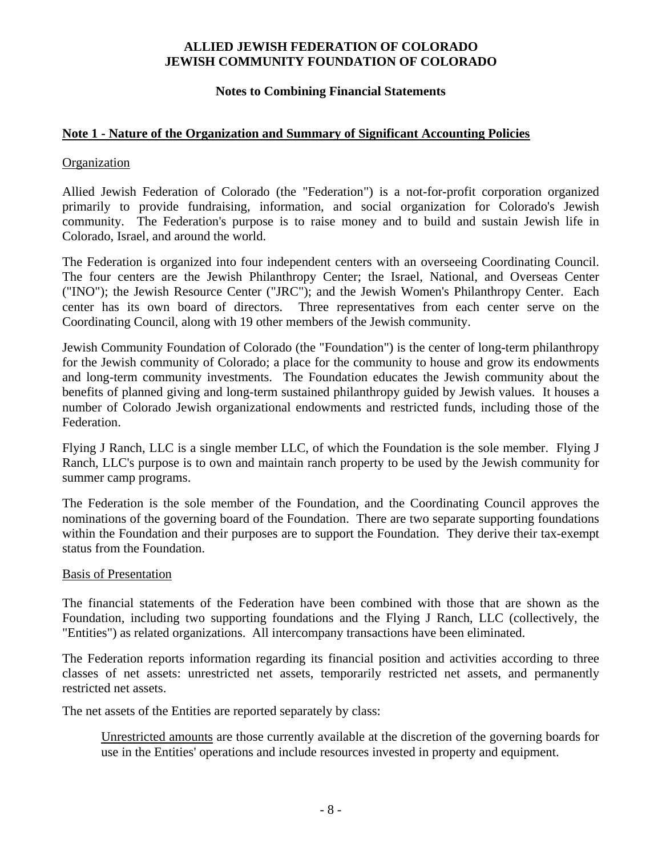## **Notes to Combining Financial Statements**

## **Note 1 - Nature of the Organization and Summary of Significant Accounting Policies**

#### **Organization**

Allied Jewish Federation of Colorado (the "Federation") is a not-for-profit corporation organized primarily to provide fundraising, information, and social organization for Colorado's Jewish community. The Federation's purpose is to raise money and to build and sustain Jewish life in Colorado, Israel, and around the world.

The Federation is organized into four independent centers with an overseeing Coordinating Council. The four centers are the Jewish Philanthropy Center; the Israel, National, and Overseas Center ("INO"); the Jewish Resource Center ("JRC"); and the Jewish Women's Philanthropy Center. Each center has its own board of directors. Three representatives from each center serve on the Coordinating Council, along with 19 other members of the Jewish community.

Jewish Community Foundation of Colorado (the "Foundation") is the center of long-term philanthropy for the Jewish community of Colorado; a place for the community to house and grow its endowments and long-term community investments. The Foundation educates the Jewish community about the benefits of planned giving and long-term sustained philanthropy guided by Jewish values. It houses a number of Colorado Jewish organizational endowments and restricted funds, including those of the Federation.

Flying J Ranch, LLC is a single member LLC, of which the Foundation is the sole member. Flying J Ranch, LLC's purpose is to own and maintain ranch property to be used by the Jewish community for summer camp programs.

The Federation is the sole member of the Foundation, and the Coordinating Council approves the nominations of the governing board of the Foundation. There are two separate supporting foundations within the Foundation and their purposes are to support the Foundation. They derive their tax-exempt status from the Foundation.

#### Basis of Presentation

The financial statements of the Federation have been combined with those that are shown as the Foundation, including two supporting foundations and the Flying J Ranch, LLC (collectively, the "Entities") as related organizations. All intercompany transactions have been eliminated.

The Federation reports information regarding its financial position and activities according to three classes of net assets: unrestricted net assets, temporarily restricted net assets, and permanently restricted net assets.

The net assets of the Entities are reported separately by class:

Unrestricted amounts are those currently available at the discretion of the governing boards for use in the Entities' operations and include resources invested in property and equipment.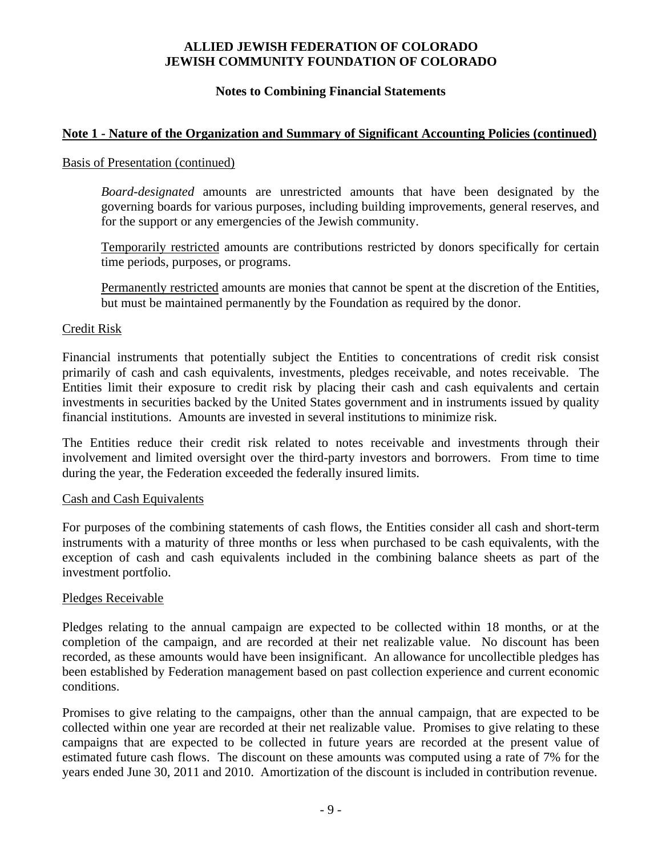#### **Notes to Combining Financial Statements**

## **Note 1 - Nature of the Organization and Summary of Significant Accounting Policies (continued)**

#### Basis of Presentation (continued)

*Board-designated* amounts are unrestricted amounts that have been designated by the governing boards for various purposes, including building improvements, general reserves, and for the support or any emergencies of the Jewish community.

Temporarily restricted amounts are contributions restricted by donors specifically for certain time periods, purposes, or programs.

Permanently restricted amounts are monies that cannot be spent at the discretion of the Entities, but must be maintained permanently by the Foundation as required by the donor.

#### Credit Risk

Financial instruments that potentially subject the Entities to concentrations of credit risk consist primarily of cash and cash equivalents, investments, pledges receivable, and notes receivable. The Entities limit their exposure to credit risk by placing their cash and cash equivalents and certain investments in securities backed by the United States government and in instruments issued by quality financial institutions. Amounts are invested in several institutions to minimize risk.

The Entities reduce their credit risk related to notes receivable and investments through their involvement and limited oversight over the third-party investors and borrowers. From time to time during the year, the Federation exceeded the federally insured limits.

#### Cash and Cash Equivalents

For purposes of the combining statements of cash flows, the Entities consider all cash and short-term instruments with a maturity of three months or less when purchased to be cash equivalents, with the exception of cash and cash equivalents included in the combining balance sheets as part of the investment portfolio.

#### Pledges Receivable

Pledges relating to the annual campaign are expected to be collected within 18 months, or at the completion of the campaign, and are recorded at their net realizable value. No discount has been recorded, as these amounts would have been insignificant. An allowance for uncollectible pledges has been established by Federation management based on past collection experience and current economic conditions.

Promises to give relating to the campaigns, other than the annual campaign, that are expected to be collected within one year are recorded at their net realizable value. Promises to give relating to these campaigns that are expected to be collected in future years are recorded at the present value of estimated future cash flows. The discount on these amounts was computed using a rate of 7% for the years ended June 30, 2011 and 2010. Amortization of the discount is included in contribution revenue.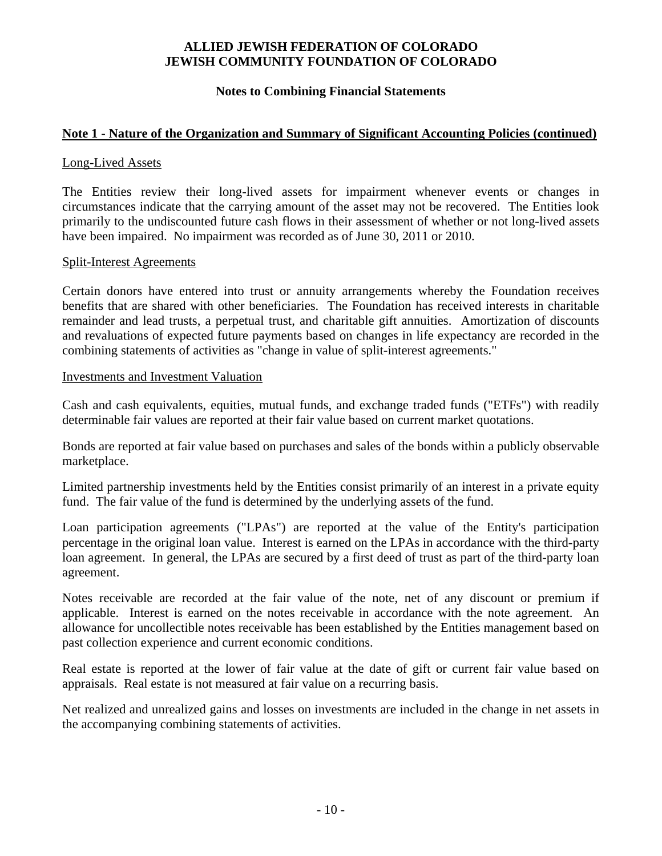#### **Notes to Combining Financial Statements**

## **Note 1 - Nature of the Organization and Summary of Significant Accounting Policies (continued)**

#### Long-Lived Assets

The Entities review their long-lived assets for impairment whenever events or changes in circumstances indicate that the carrying amount of the asset may not be recovered. The Entities look primarily to the undiscounted future cash flows in their assessment of whether or not long-lived assets have been impaired. No impairment was recorded as of June 30, 2011 or 2010.

#### Split-Interest Agreements

Certain donors have entered into trust or annuity arrangements whereby the Foundation receives benefits that are shared with other beneficiaries. The Foundation has received interests in charitable remainder and lead trusts, a perpetual trust, and charitable gift annuities. Amortization of discounts and revaluations of expected future payments based on changes in life expectancy are recorded in the combining statements of activities as "change in value of split-interest agreements."

#### Investments and Investment Valuation

Cash and cash equivalents, equities, mutual funds, and exchange traded funds ("ETFs") with readily determinable fair values are reported at their fair value based on current market quotations.

Bonds are reported at fair value based on purchases and sales of the bonds within a publicly observable marketplace.

Limited partnership investments held by the Entities consist primarily of an interest in a private equity fund. The fair value of the fund is determined by the underlying assets of the fund.

Loan participation agreements ("LPAs") are reported at the value of the Entity's participation percentage in the original loan value. Interest is earned on the LPAs in accordance with the third-party loan agreement. In general, the LPAs are secured by a first deed of trust as part of the third-party loan agreement.

Notes receivable are recorded at the fair value of the note, net of any discount or premium if applicable. Interest is earned on the notes receivable in accordance with the note agreement. An allowance for uncollectible notes receivable has been established by the Entities management based on past collection experience and current economic conditions.

Real estate is reported at the lower of fair value at the date of gift or current fair value based on appraisals. Real estate is not measured at fair value on a recurring basis.

Net realized and unrealized gains and losses on investments are included in the change in net assets in the accompanying combining statements of activities.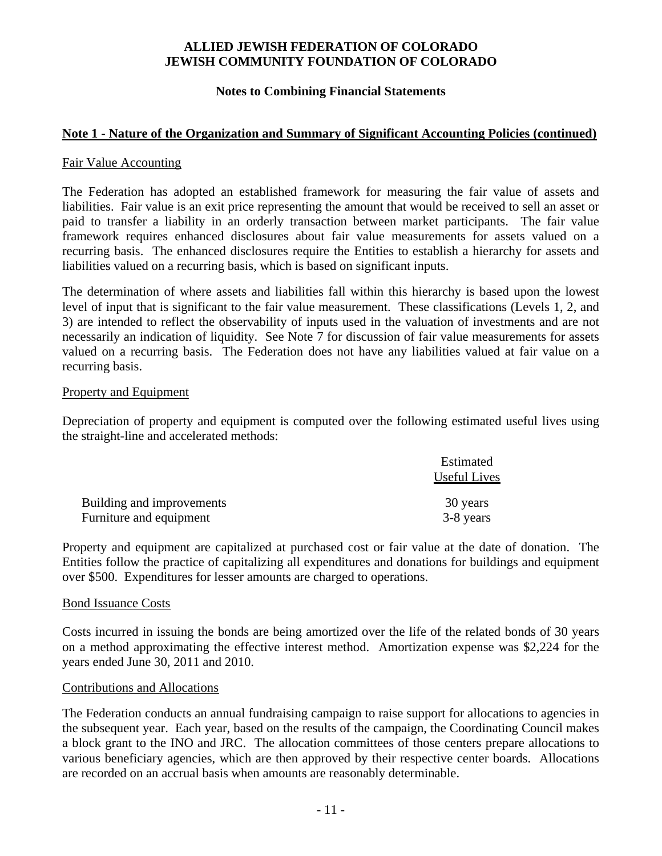## **Notes to Combining Financial Statements**

## **Note 1 - Nature of the Organization and Summary of Significant Accounting Policies (continued)**

#### Fair Value Accounting

The Federation has adopted an established framework for measuring the fair value of assets and liabilities. Fair value is an exit price representing the amount that would be received to sell an asset or paid to transfer a liability in an orderly transaction between market participants. The fair value framework requires enhanced disclosures about fair value measurements for assets valued on a recurring basis. The enhanced disclosures require the Entities to establish a hierarchy for assets and liabilities valued on a recurring basis, which is based on significant inputs.

The determination of where assets and liabilities fall within this hierarchy is based upon the lowest level of input that is significant to the fair value measurement. These classifications (Levels 1, 2, and 3) are intended to reflect the observability of inputs used in the valuation of investments and are not necessarily an indication of liquidity. See Note 7 for discussion of fair value measurements for assets valued on a recurring basis. The Federation does not have any liabilities valued at fair value on a recurring basis.

#### Property and Equipment

Depreciation of property and equipment is computed over the following estimated useful lives using the straight-line and accelerated methods:

|                           | Estimated    |
|---------------------------|--------------|
|                           | Useful Lives |
| Building and improvements | 30 years     |
| Furniture and equipment   | 3-8 years    |

Property and equipment are capitalized at purchased cost or fair value at the date of donation. The Entities follow the practice of capitalizing all expenditures and donations for buildings and equipment over \$500. Expenditures for lesser amounts are charged to operations.

#### Bond Issuance Costs

Costs incurred in issuing the bonds are being amortized over the life of the related bonds of 30 years on a method approximating the effective interest method. Amortization expense was \$2,224 for the years ended June 30, 2011 and 2010.

#### Contributions and Allocations

The Federation conducts an annual fundraising campaign to raise support for allocations to agencies in the subsequent year. Each year, based on the results of the campaign, the Coordinating Council makes a block grant to the INO and JRC. The allocation committees of those centers prepare allocations to various beneficiary agencies, which are then approved by their respective center boards. Allocations are recorded on an accrual basis when amounts are reasonably determinable.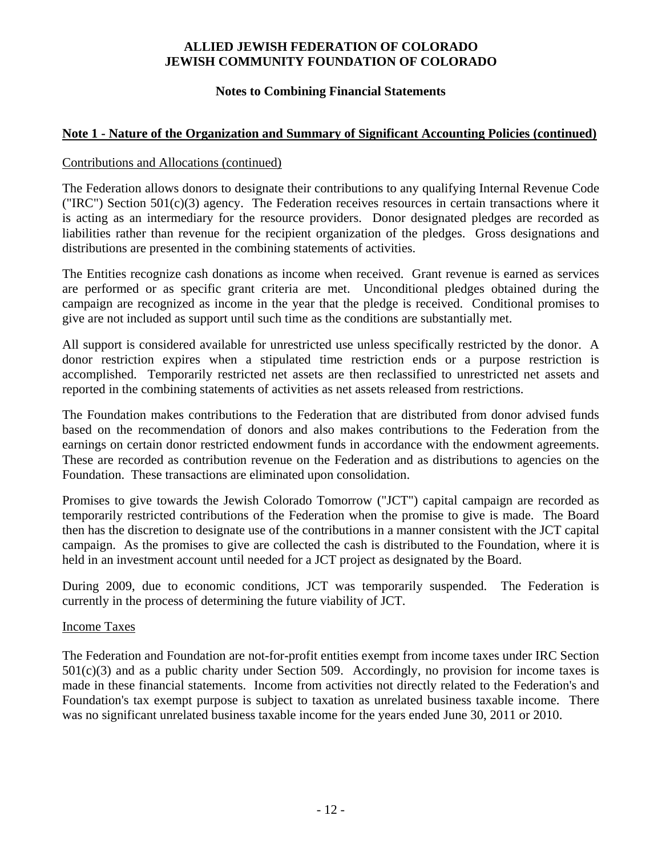## **Notes to Combining Financial Statements**

## **Note 1 - Nature of the Organization and Summary of Significant Accounting Policies (continued)**

#### Contributions and Allocations (continued)

The Federation allows donors to designate their contributions to any qualifying Internal Revenue Code ("IRC") Section  $501(c)(3)$  agency. The Federation receives resources in certain transactions where it is acting as an intermediary for the resource providers. Donor designated pledges are recorded as liabilities rather than revenue for the recipient organization of the pledges. Gross designations and distributions are presented in the combining statements of activities.

The Entities recognize cash donations as income when received. Grant revenue is earned as services are performed or as specific grant criteria are met. Unconditional pledges obtained during the campaign are recognized as income in the year that the pledge is received. Conditional promises to give are not included as support until such time as the conditions are substantially met.

All support is considered available for unrestricted use unless specifically restricted by the donor. A donor restriction expires when a stipulated time restriction ends or a purpose restriction is accomplished. Temporarily restricted net assets are then reclassified to unrestricted net assets and reported in the combining statements of activities as net assets released from restrictions.

The Foundation makes contributions to the Federation that are distributed from donor advised funds based on the recommendation of donors and also makes contributions to the Federation from the earnings on certain donor restricted endowment funds in accordance with the endowment agreements. These are recorded as contribution revenue on the Federation and as distributions to agencies on the Foundation. These transactions are eliminated upon consolidation.

Promises to give towards the Jewish Colorado Tomorrow ("JCT") capital campaign are recorded as temporarily restricted contributions of the Federation when the promise to give is made. The Board then has the discretion to designate use of the contributions in a manner consistent with the JCT capital campaign. As the promises to give are collected the cash is distributed to the Foundation, where it is held in an investment account until needed for a JCT project as designated by the Board.

During 2009, due to economic conditions, JCT was temporarily suspended. The Federation is currently in the process of determining the future viability of JCT.

#### Income Taxes

The Federation and Foundation are not-for-profit entities exempt from income taxes under IRC Section  $501(c)(3)$  and as a public charity under Section 509. Accordingly, no provision for income taxes is made in these financial statements. Income from activities not directly related to the Federation's and Foundation's tax exempt purpose is subject to taxation as unrelated business taxable income. There was no significant unrelated business taxable income for the years ended June 30, 2011 or 2010.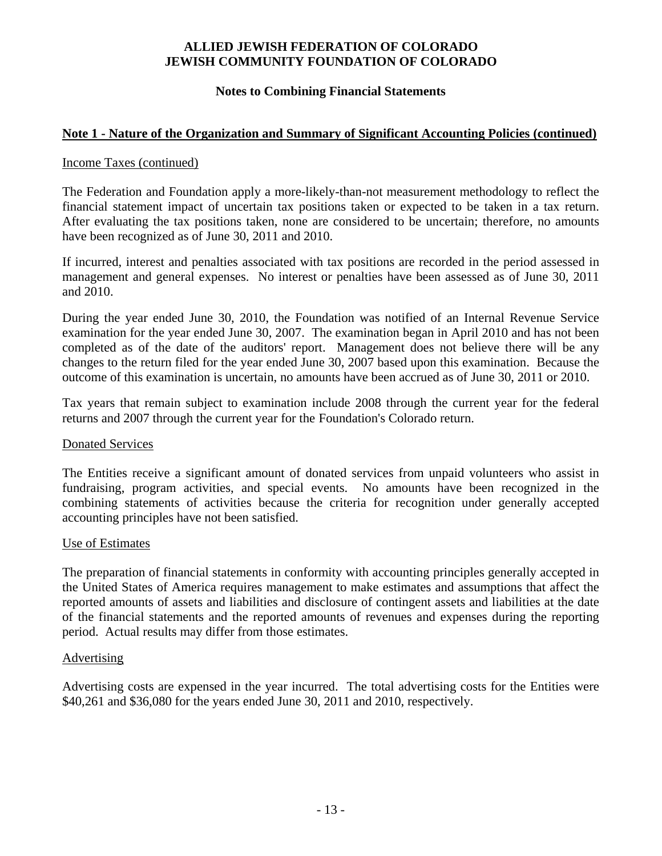## **Notes to Combining Financial Statements**

## **Note 1 - Nature of the Organization and Summary of Significant Accounting Policies (continued)**

#### Income Taxes (continued)

The Federation and Foundation apply a more-likely-than-not measurement methodology to reflect the financial statement impact of uncertain tax positions taken or expected to be taken in a tax return. After evaluating the tax positions taken, none are considered to be uncertain; therefore, no amounts have been recognized as of June 30, 2011 and 2010.

If incurred, interest and penalties associated with tax positions are recorded in the period assessed in management and general expenses. No interest or penalties have been assessed as of June 30, 2011 and 2010.

During the year ended June 30, 2010, the Foundation was notified of an Internal Revenue Service examination for the year ended June 30, 2007. The examination began in April 2010 and has not been completed as of the date of the auditors' report. Management does not believe there will be any changes to the return filed for the year ended June 30, 2007 based upon this examination. Because the outcome of this examination is uncertain, no amounts have been accrued as of June 30, 2011 or 2010.

Tax years that remain subject to examination include 2008 through the current year for the federal returns and 2007 through the current year for the Foundation's Colorado return.

#### Donated Services

The Entities receive a significant amount of donated services from unpaid volunteers who assist in fundraising, program activities, and special events. No amounts have been recognized in the combining statements of activities because the criteria for recognition under generally accepted accounting principles have not been satisfied.

#### Use of Estimates

The preparation of financial statements in conformity with accounting principles generally accepted in the United States of America requires management to make estimates and assumptions that affect the reported amounts of assets and liabilities and disclosure of contingent assets and liabilities at the date of the financial statements and the reported amounts of revenues and expenses during the reporting period. Actual results may differ from those estimates.

#### Advertising

Advertising costs are expensed in the year incurred. The total advertising costs for the Entities were \$40,261 and \$36,080 for the years ended June 30, 2011 and 2010, respectively.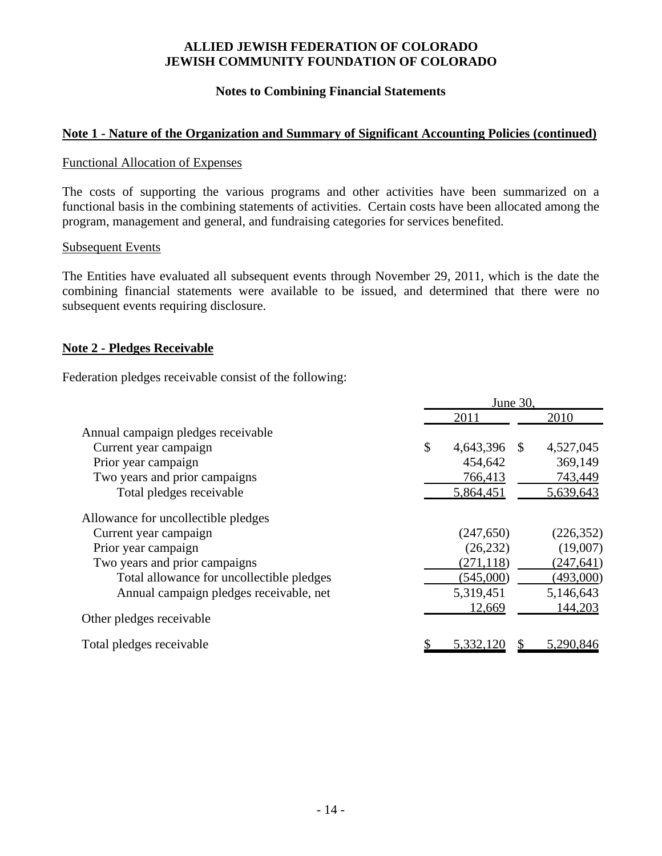## **Notes to Combining Financial Statements**

## **Note 1 - Nature of the Organization and Summary of Significant Accounting Policies (continued)**

#### Functional Allocation of Expenses

The costs of supporting the various programs and other activities have been summarized on a functional basis in the combining statements of activities. Certain costs have been allocated among the program, management and general, and fundraising categories for services benefited.

#### Subsequent Events

The Entities have evaluated all subsequent events through November 29, 2011, which is the date the combining financial statements were available to be issued, and determined that there were no subsequent events requiring disclosure.

#### **Note 2 - Pledges Receivable**

Federation pledges receivable consist of the following:

|                                           |               | June 30,   |    |            |
|-------------------------------------------|---------------|------------|----|------------|
|                                           |               | 2011       |    | 2010       |
| Annual campaign pledges receivable        |               |            |    |            |
| Current year campaign                     | $\mathcal{S}$ | 4,643,396  | -S | 4,527,045  |
| Prior year campaign                       |               | 454,642    |    | 369,149    |
| Two years and prior campaigns             |               | 766,413    |    | 743,449    |
| Total pledges receivable                  |               | 5,864,451  |    | 5,639,643  |
| Allowance for uncollectible pledges       |               |            |    |            |
| Current year campaign                     |               | (247, 650) |    | (226, 352) |
| Prior year campaign                       |               | (26, 232)  |    | (19,007)   |
| Two years and prior campaigns             |               | (271, 118) |    | (247, 641) |
| Total allowance for uncollectible pledges |               | (545,000)  |    | (493,000)  |
| Annual campaign pledges receivable, net   |               | 5,319,451  |    | 5,146,643  |
| Other pledges receivable                  |               | 12,669     |    | 144,203    |
| Total pledges receivable                  |               | 5,332.     |    | 5.290.846  |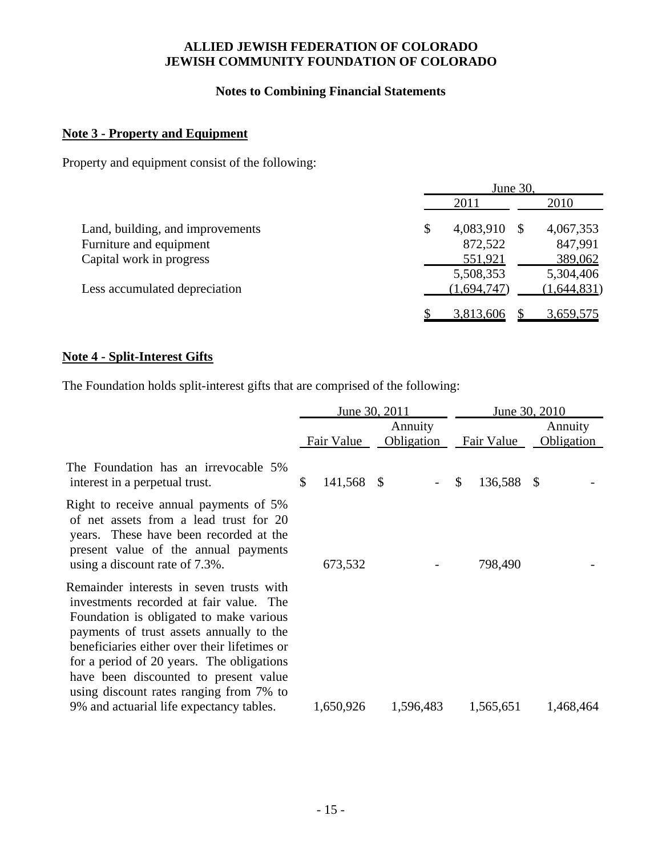## **Notes to Combining Financial Statements**

# **Note 3 - Property and Equipment**

Property and equipment consist of the following:

|                                  | June 30, |             |              |             |  |  |
|----------------------------------|----------|-------------|--------------|-------------|--|--|
|                                  |          | 2011        |              | 2010        |  |  |
| Land, building, and improvements | \$       | 4,083,910   | <sup>8</sup> | 4,067,353   |  |  |
| Furniture and equipment          |          | 872,522     |              | 847,991     |  |  |
| Capital work in progress         |          | 551,921     |              | 389,062     |  |  |
|                                  |          | 5,508,353   |              | 5,304,406   |  |  |
| Less accumulated depreciation    |          | (1,694,747) |              | (1,644,831) |  |  |
|                                  |          | 3,813,606   |              | 3,659,575   |  |  |

# **Note 4 - Split-Interest Gifts**

The Foundation holds split-interest gifts that are comprised of the following:

|                                                                                                                                                                                                                                                                                                                                                             | June 30, 2011     |                              | June 30, 2010     |    |                       |  |  |
|-------------------------------------------------------------------------------------------------------------------------------------------------------------------------------------------------------------------------------------------------------------------------------------------------------------------------------------------------------------|-------------------|------------------------------|-------------------|----|-----------------------|--|--|
|                                                                                                                                                                                                                                                                                                                                                             | <b>Fair Value</b> | Annuity<br><b>Obligation</b> | <b>Fair Value</b> |    | Annuity<br>Obligation |  |  |
| The Foundation has an irrevocable 5%<br>interest in a perpetual trust.                                                                                                                                                                                                                                                                                      | \$<br>141,568 \$  |                              | \$<br>136,588     | -S |                       |  |  |
| Right to receive annual payments of 5%<br>of net assets from a lead trust for 20<br>years. These have been recorded at the<br>present value of the annual payments<br>using a discount rate of 7.3%.                                                                                                                                                        | 673,532           |                              | 798,490           |    |                       |  |  |
| Remainder interests in seven trusts with<br>investments recorded at fair value. The<br>Foundation is obligated to make various<br>payments of trust assets annually to the<br>beneficiaries either over their lifetimes or<br>for a period of 20 years. The obligations<br>have been discounted to present value<br>using discount rates ranging from 7% to |                   |                              |                   |    |                       |  |  |
| 9% and actuarial life expectancy tables.                                                                                                                                                                                                                                                                                                                    | 1,650,926         | 1,596,483                    | 1,565,651         |    | 1,468,464             |  |  |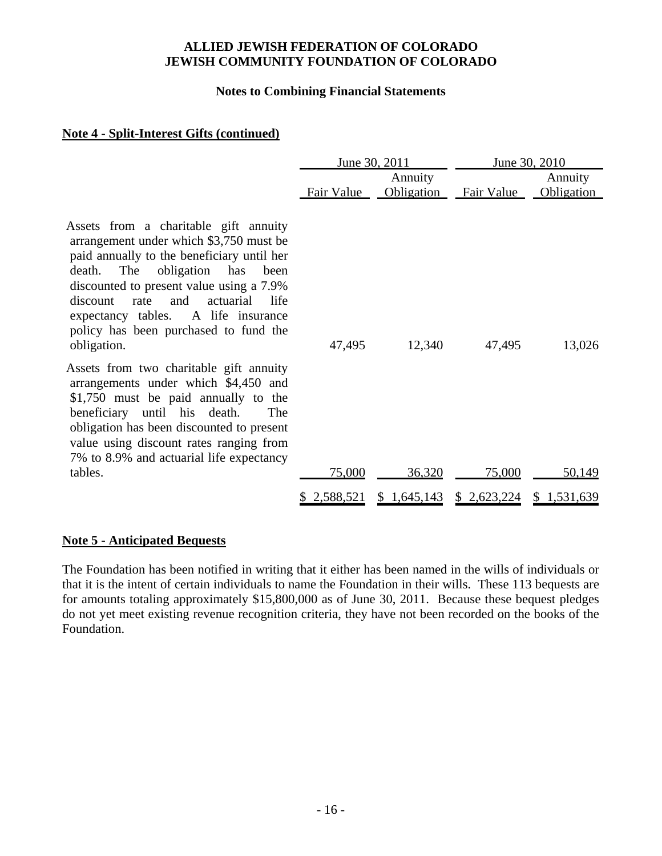#### **Notes to Combining Financial Statements**

## **Note 4 - Split-Interest Gifts (continued)**

|                                                                                                                                                                                                                                                                                                                                                                         |             | June 30, 2011         |                   | June 30, 2010         |
|-------------------------------------------------------------------------------------------------------------------------------------------------------------------------------------------------------------------------------------------------------------------------------------------------------------------------------------------------------------------------|-------------|-----------------------|-------------------|-----------------------|
|                                                                                                                                                                                                                                                                                                                                                                         | Fair Value  | Annuity<br>Obligation | <b>Fair Value</b> | Annuity<br>Obligation |
| Assets from a charitable gift annuity<br>arrangement under which \$3,750 must be<br>paid annually to the beneficiary until her<br>The<br>obligation<br>death.<br>has<br>been<br>discounted to present value using a 7.9%<br>discount<br>rate<br>and<br>actuarial<br>life<br>expectancy tables. A life insurance<br>policy has been purchased to fund the<br>obligation. | 47,495      | 12,340                | 47,495            | 13,026                |
| Assets from two charitable gift annuity<br>arrangements under which \$4,450 and<br>\$1,750 must be paid annually to the<br>beneficiary until his death.<br>The<br>obligation has been discounted to present<br>value using discount rates ranging from<br>7% to 8.9% and actuarial life expectancy                                                                      |             |                       |                   |                       |
| tables.                                                                                                                                                                                                                                                                                                                                                                 | 75,000      | 36,320                | 75,000            | 50,149                |
|                                                                                                                                                                                                                                                                                                                                                                         | \$2,588,521 | \$1,645,143           | \$2,623,224       | \$1,531,639           |

## **Note 5 - Anticipated Bequests**

The Foundation has been notified in writing that it either has been named in the wills of individuals or that it is the intent of certain individuals to name the Foundation in their wills. These 113 bequests are for amounts totaling approximately \$15,800,000 as of June 30, 2011. Because these bequest pledges do not yet meet existing revenue recognition criteria, they have not been recorded on the books of the Foundation.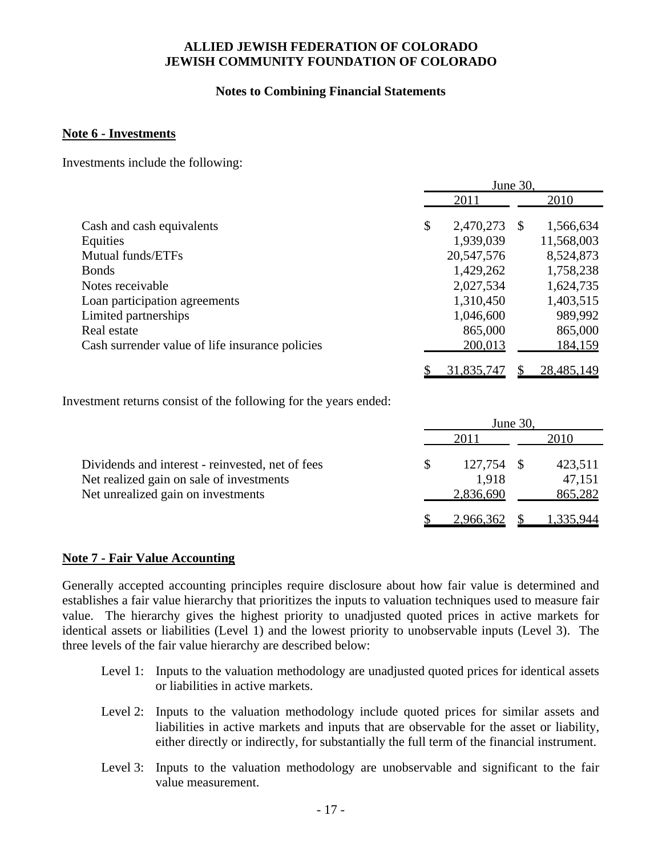## **Notes to Combining Financial Statements**

#### **Note 6 - Investments**

Investments include the following:

|                                                 | June 30. |                        |    |                         |  |  |
|-------------------------------------------------|----------|------------------------|----|-------------------------|--|--|
|                                                 | 2011     |                        |    | 2010                    |  |  |
| Cash and cash equivalents<br>Equities           | \$       | 2,470,273<br>1,939,039 | -S | 1,566,634<br>11,568,003 |  |  |
| Mutual funds/ETFs                               |          | 20,547,576             |    | 8,524,873               |  |  |
| <b>Bonds</b>                                    |          | 1,429,262              |    | 1,758,238               |  |  |
| Notes receivable                                |          | 2,027,534              |    | 1,624,735               |  |  |
| Loan participation agreements                   |          | 1,310,450              |    | 1,403,515               |  |  |
| Limited partnerships                            |          | 1,046,600              |    | 989,992                 |  |  |
| Real estate                                     |          | 865,000                |    | 865,000                 |  |  |
| Cash surrender value of life insurance policies |          | 200,013                |    | 184,159                 |  |  |
|                                                 |          | 31,835,747             |    | 28,485,149              |  |  |

Investment returns consist of the following for the years ended:

|                                                                                                                                    | June 30. |                               |  |                              |  |  |
|------------------------------------------------------------------------------------------------------------------------------------|----------|-------------------------------|--|------------------------------|--|--|
|                                                                                                                                    | 2011     |                               |  | 2010                         |  |  |
| Dividends and interest - reinvested, net of fees<br>Net realized gain on sale of investments<br>Net unrealized gain on investments |          | 127,754<br>1.918<br>2,836,690 |  | 423,511<br>47,151<br>865,282 |  |  |
|                                                                                                                                    |          | 2,966,362                     |  | 1,335,944                    |  |  |

#### **Note 7 - Fair Value Accounting**

Generally accepted accounting principles require disclosure about how fair value is determined and establishes a fair value hierarchy that prioritizes the inputs to valuation techniques used to measure fair value. The hierarchy gives the highest priority to unadjusted quoted prices in active markets for identical assets or liabilities (Level 1) and the lowest priority to unobservable inputs (Level 3). The three levels of the fair value hierarchy are described below:

- Level 1: Inputs to the valuation methodology are unadjusted quoted prices for identical assets or liabilities in active markets.
- Level 2: Inputs to the valuation methodology include quoted prices for similar assets and liabilities in active markets and inputs that are observable for the asset or liability, either directly or indirectly, for substantially the full term of the financial instrument.
- Level 3: Inputs to the valuation methodology are unobservable and significant to the fair value measurement.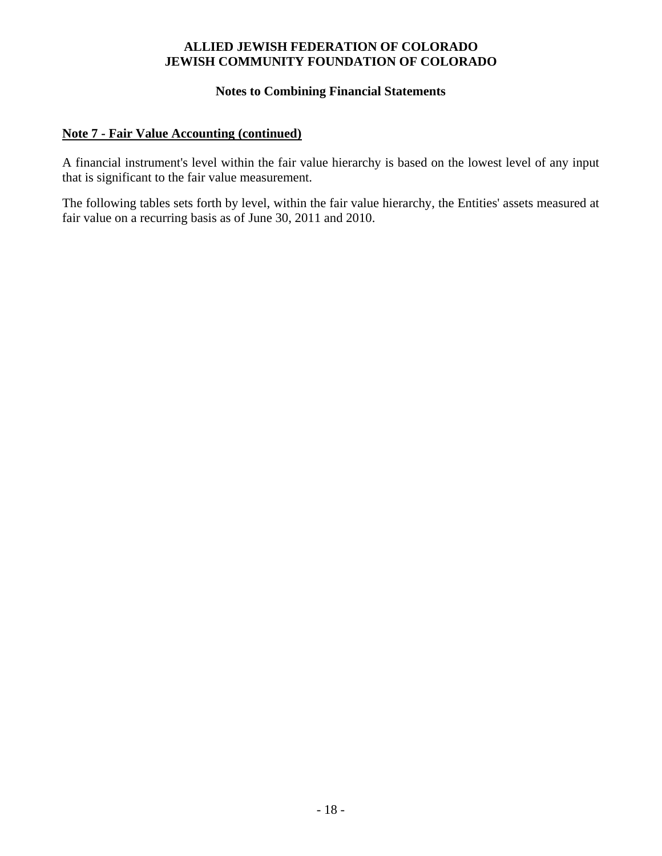#### **Notes to Combining Financial Statements**

# **Note 7 - Fair Value Accounting (continued)**

A financial instrument's level within the fair value hierarchy is based on the lowest level of any input that is significant to the fair value measurement.

The following tables sets forth by level, within the fair value hierarchy, the Entities' assets measured at fair value on a recurring basis as of June 30, 2011 and 2010.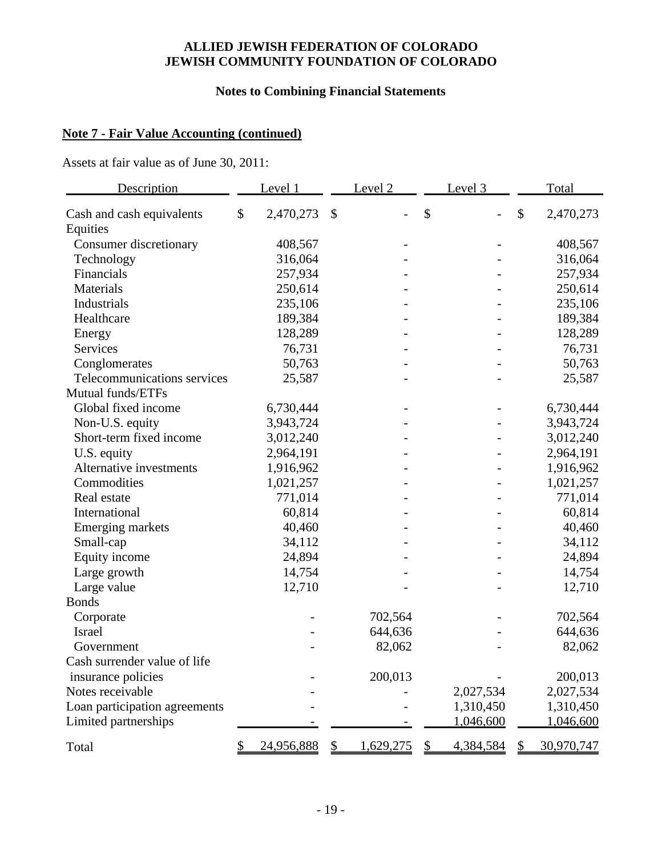# **Notes to Combining Financial Statements**

# **Note 7 - Fair Value Accounting (continued)**

Assets at fair value as of June 30, 2011:

| Description                           | Level 1         |               | Level <sub>2</sub> | Level <sub>3</sub> |                          |               | Total      |
|---------------------------------------|-----------------|---------------|--------------------|--------------------|--------------------------|---------------|------------|
| Cash and cash equivalents<br>Equities | \$<br>2,470,273 | $\mathcal{S}$ |                    | \$                 | $\overline{\phantom{0}}$ | $\mathcal{S}$ | 2,470,273  |
| Consumer discretionary                | 408,567         |               |                    |                    |                          |               | 408,567    |
| Technology                            | 316,064         |               |                    |                    |                          |               | 316,064    |
| Financials                            | 257,934         |               |                    |                    |                          |               | 257,934    |
| Materials                             | 250,614         |               |                    |                    |                          |               | 250,614    |
| Industrials                           | 235,106         |               |                    |                    |                          |               | 235,106    |
| Healthcare                            | 189,384         |               |                    |                    |                          |               | 189,384    |
| Energy                                | 128,289         |               |                    |                    |                          |               | 128,289    |
| Services                              | 76,731          |               |                    |                    |                          |               | 76,731     |
| Conglomerates                         | 50,763          |               |                    |                    |                          |               | 50,763     |
| Telecommunications services           | 25,587          |               |                    |                    |                          |               | 25,587     |
| Mutual funds/ETFs                     |                 |               |                    |                    |                          |               |            |
| Global fixed income                   | 6,730,444       |               |                    |                    |                          |               | 6,730,444  |
| Non-U.S. equity                       | 3,943,724       |               |                    |                    |                          |               | 3,943,724  |
| Short-term fixed income               | 3,012,240       |               |                    |                    |                          |               | 3,012,240  |
| U.S. equity                           | 2,964,191       |               |                    |                    |                          |               | 2,964,191  |
| Alternative investments               | 1,916,962       |               |                    |                    |                          |               | 1,916,962  |
| Commodities                           | 1,021,257       |               |                    |                    |                          |               | 1,021,257  |
| Real estate                           | 771,014         |               |                    |                    |                          |               | 771,014    |
| International                         | 60,814          |               |                    |                    |                          |               | 60,814     |
| Emerging markets                      | 40,460          |               |                    |                    |                          |               | 40,460     |
| Small-cap                             | 34,112          |               |                    |                    |                          |               | 34,112     |
| Equity income                         | 24,894          |               |                    |                    |                          |               | 24,894     |
| Large growth                          | 14,754          |               |                    |                    |                          |               | 14,754     |
| Large value                           | 12,710          |               |                    |                    |                          |               | 12,710     |
| <b>Bonds</b>                          |                 |               |                    |                    |                          |               |            |
| Corporate                             |                 |               | 702,564            |                    |                          |               | 702,564    |
| Israel                                |                 |               | 644,636            |                    |                          |               | 644,636    |
| Government                            |                 |               | 82,062             |                    |                          |               | 82,062     |
| Cash surrender value of life          |                 |               |                    |                    |                          |               |            |
| insurance policies                    |                 |               | 200,013            |                    |                          |               | 200,013    |
| Notes receivable                      |                 |               |                    |                    | 2,027,534                |               | 2,027,534  |
| Loan participation agreements         |                 |               |                    |                    | 1,310,450                |               | 1,310,450  |
| Limited partnerships                  |                 |               |                    |                    | 1,046,600                |               | 1,046,600  |
| Total                                 | 24,956,888      | S.            | 1,629,275          | $\mathcal{F}$      | 4,384,584                |               | 30,970,747 |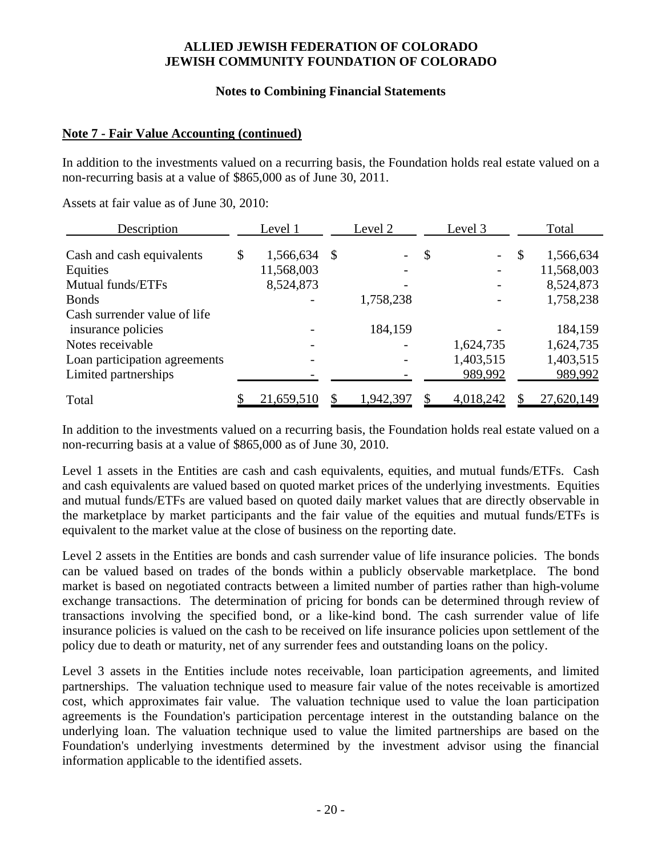#### **Notes to Combining Financial Statements**

## **Note 7 - Fair Value Accounting (continued)**

In addition to the investments valued on a recurring basis, the Foundation holds real estate valued on a non-recurring basis at a value of \$865,000 as of June 30, 2011.

Assets at fair value as of June 30, 2010:

| <b>Description</b>            | Level 1 |            | Level 2 |           |               | Level 3   |          | <b>Total</b> |  |
|-------------------------------|---------|------------|---------|-----------|---------------|-----------|----------|--------------|--|
| Cash and cash equivalents     | \$      | 1,566,634  | -S      |           | $\mathcal{S}$ |           | <b>S</b> | 1,566,634    |  |
| Equities                      |         | 11,568,003 |         |           |               |           |          | 11,568,003   |  |
| Mutual funds/ETFs             |         | 8,524,873  |         |           |               |           |          | 8,524,873    |  |
| <b>Bonds</b>                  |         |            |         | 1,758,238 |               |           |          | 1,758,238    |  |
| Cash surrender value of life  |         |            |         |           |               |           |          |              |  |
| insurance policies            |         |            |         | 184,159   |               |           |          | 184,159      |  |
| Notes receivable              |         |            |         |           |               | 1,624,735 |          | 1,624,735    |  |
| Loan participation agreements |         |            |         |           |               | 1,403,515 |          | 1,403,515    |  |
| Limited partnerships          |         |            |         |           |               | 989,992   |          | 989,992      |  |
| Total                         |         | 21,659,510 |         | 1,942,397 |               | 4,018,242 |          | 27,620,149   |  |

In addition to the investments valued on a recurring basis, the Foundation holds real estate valued on a non-recurring basis at a value of \$865,000 as of June 30, 2010.

Level 1 assets in the Entities are cash and cash equivalents, equities, and mutual funds/ETFs. Cash and cash equivalents are valued based on quoted market prices of the underlying investments. Equities and mutual funds/ETFs are valued based on quoted daily market values that are directly observable in the marketplace by market participants and the fair value of the equities and mutual funds/ETFs is equivalent to the market value at the close of business on the reporting date.

Level 2 assets in the Entities are bonds and cash surrender value of life insurance policies. The bonds can be valued based on trades of the bonds within a publicly observable marketplace. The bond market is based on negotiated contracts between a limited number of parties rather than high-volume exchange transactions. The determination of pricing for bonds can be determined through review of transactions involving the specified bond, or a like-kind bond. The cash surrender value of life insurance policies is valued on the cash to be received on life insurance policies upon settlement of the policy due to death or maturity, net of any surrender fees and outstanding loans on the policy.

Level 3 assets in the Entities include notes receivable, loan participation agreements, and limited partnerships. The valuation technique used to measure fair value of the notes receivable is amortized cost, which approximates fair value. The valuation technique used to value the loan participation agreements is the Foundation's participation percentage interest in the outstanding balance on the underlying loan. The valuation technique used to value the limited partnerships are based on the Foundation's underlying investments determined by the investment advisor using the financial information applicable to the identified assets.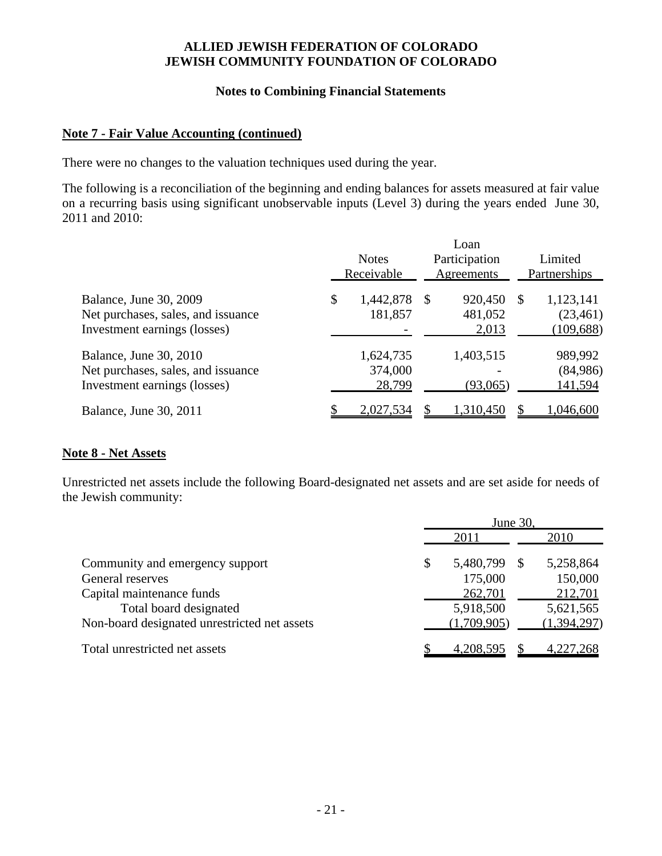#### **Notes to Combining Financial Statements**

## **Note 7 - Fair Value Accounting (continued)**

There were no changes to the valuation techniques used during the year.

The following is a reconciliation of the beginning and ending balances for assets measured at fair value on a recurring basis using significant unobservable inputs (Level 3) during the years ended June 30, 2011 and 2010:

|                                                                                                      | <b>Notes</b><br>Receivable |                                |              | Loan<br>Participation<br>Agreements | Limited<br>Partnerships |                                       |  |
|------------------------------------------------------------------------------------------------------|----------------------------|--------------------------------|--------------|-------------------------------------|-------------------------|---------------------------------------|--|
| Balance, June 30, 2009<br>Net purchases, sales, and issuance<br>Investment earnings (losses)         | \$                         | 1,442,878<br>181,857           | $\mathbb{S}$ | 920,450<br>481,052<br>2,013         | -S                      | 1,123,141<br>(23, 461)<br>(109, 688)  |  |
| <b>Balance</b> , June 30, 2010<br>Net purchases, sales, and issuance<br>Investment earnings (losses) |                            | 1,624,735<br>374,000<br>28,799 |              | 1,403,515<br>(93,065)               |                         | 989,992<br>(84,986)<br><u>141,594</u> |  |
| Balance, June 30, 2011                                                                               |                            | 2,027,534                      |              | 1,310,450                           |                         | 1,046,600                             |  |

# **Note 8 - Net Assets**

Unrestricted net assets include the following Board-designated net assets and are set aside for needs of the Jewish community:

|                                              | June 30,         |    |             |  |  |
|----------------------------------------------|------------------|----|-------------|--|--|
|                                              | 2011             |    | 2010        |  |  |
| Community and emergency support              | \$<br>5,480,799  | -S | 5,258,864   |  |  |
| General reserves                             | 175,000          |    | 150,000     |  |  |
| Capital maintenance funds                    | 262,701          |    | 212,701     |  |  |
| Total board designated                       | 5,918,500        |    | 5,621,565   |  |  |
| Non-board designated unrestricted net assets | (1,709,905)      |    | (1,394,297) |  |  |
| Total unrestricted net assets                | <u>4,208,595</u> |    | 4,227,268   |  |  |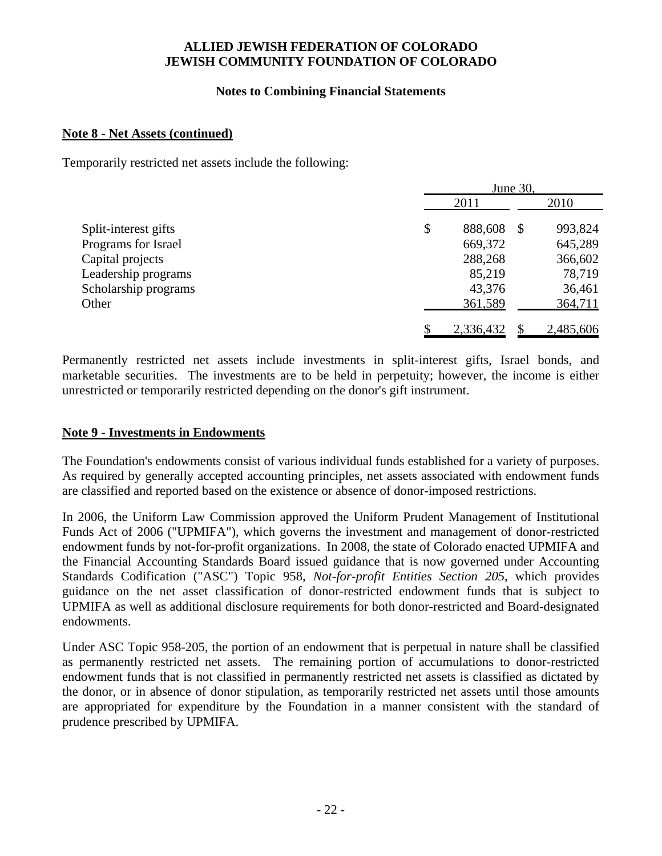## **Notes to Combining Financial Statements**

#### **Note 8 - Net Assets (continued)**

Temporarily restricted net assets include the following:

|                      | June 30,      |    |           |  |  |
|----------------------|---------------|----|-----------|--|--|
|                      | 2011          |    | 2010      |  |  |
| Split-interest gifts | \$<br>888,608 | \$ | 993,824   |  |  |
| Programs for Israel  | 669,372       |    | 645,289   |  |  |
| Capital projects     | 288,268       |    | 366,602   |  |  |
| Leadership programs  | 85,219        |    | 78,719    |  |  |
| Scholarship programs | 43,376        |    | 36,461    |  |  |
| Other                | 361,589       |    | 364,711   |  |  |
|                      | 2,336,432     |    | 2,485,606 |  |  |

Permanently restricted net assets include investments in split-interest gifts, Israel bonds, and marketable securities. The investments are to be held in perpetuity; however, the income is either unrestricted or temporarily restricted depending on the donor's gift instrument.

## **Note 9 - Investments in Endowments**

The Foundation's endowments consist of various individual funds established for a variety of purposes. As required by generally accepted accounting principles, net assets associated with endowment funds are classified and reported based on the existence or absence of donor-imposed restrictions.

In 2006, the Uniform Law Commission approved the Uniform Prudent Management of Institutional Funds Act of 2006 ("UPMIFA"), which governs the investment and management of donor-restricted endowment funds by not-for-profit organizations. In 2008, the state of Colorado enacted UPMIFA and the Financial Accounting Standards Board issued guidance that is now governed under Accounting Standards Codification ("ASC") Topic 958, *Not-for-profit Entities Section 205*, which provides guidance on the net asset classification of donor-restricted endowment funds that is subject to UPMIFA as well as additional disclosure requirements for both donor-restricted and Board-designated endowments.

Under ASC Topic 958-205, the portion of an endowment that is perpetual in nature shall be classified as permanently restricted net assets. The remaining portion of accumulations to donor-restricted endowment funds that is not classified in permanently restricted net assets is classified as dictated by the donor, or in absence of donor stipulation, as temporarily restricted net assets until those amounts are appropriated for expenditure by the Foundation in a manner consistent with the standard of prudence prescribed by UPMIFA.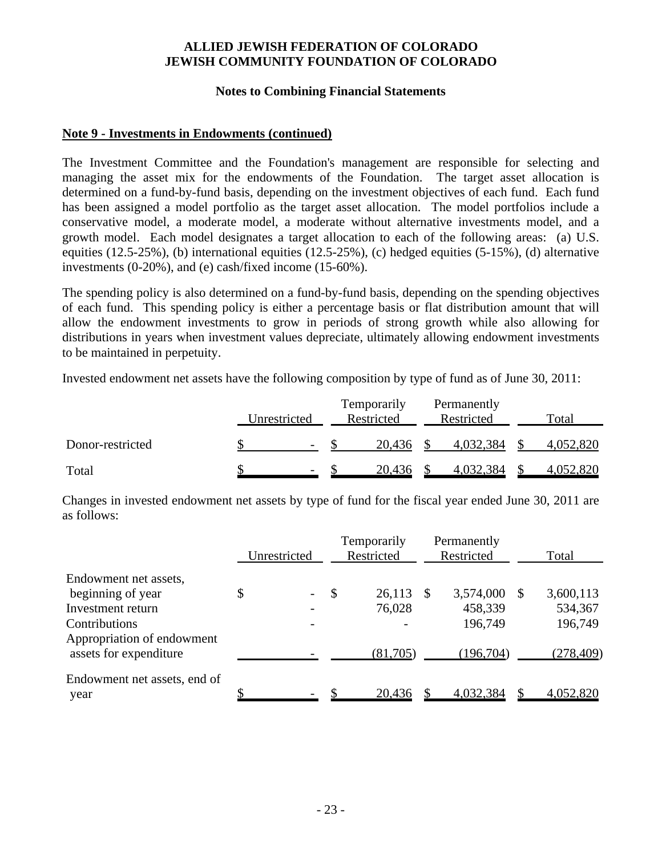#### **Notes to Combining Financial Statements**

## **Note 9 - Investments in Endowments (continued)**

The Investment Committee and the Foundation's management are responsible for selecting and managing the asset mix for the endowments of the Foundation. The target asset allocation is determined on a fund-by-fund basis, depending on the investment objectives of each fund. Each fund has been assigned a model portfolio as the target asset allocation. The model portfolios include a conservative model, a moderate model, a moderate without alternative investments model, and a growth model. Each model designates a target allocation to each of the following areas: (a) U.S. equities (12.5-25%), (b) international equities (12.5-25%), (c) hedged equities (5-15%), (d) alternative investments (0-20%), and (e) cash/fixed income (15-60%).

The spending policy is also determined on a fund-by-fund basis, depending on the spending objectives of each fund. This spending policy is either a percentage basis or flat distribution amount that will allow the endowment investments to grow in periods of strong growth while also allowing for distributions in years when investment values depreciate, ultimately allowing endowment investments to be maintained in perpetuity.

Invested endowment net assets have the following composition by type of fund as of June 30, 2011:

|                  | Unrestricted |                          | Temporarily<br>Restricted | Permanently<br>Restricted | Total     |
|------------------|--------------|--------------------------|---------------------------|---------------------------|-----------|
| Donor-restricted |              | $\overline{\phantom{a}}$ | 20,436                    | 4,032,384                 | 4,052,820 |
| Total            |              | $\overline{\phantom{a}}$ | 20,436                    | 4,032,384                 | 4,052,820 |

Changes in invested endowment net assets by type of fund for the fiscal year ended June 30, 2011 are as follows:

|                                             |              |                                                      |                           | Temporarily      |    | Permanently          |   |                      |  |
|---------------------------------------------|--------------|------------------------------------------------------|---------------------------|------------------|----|----------------------|---|----------------------|--|
|                                             | Unrestricted |                                                      |                           | Restricted       |    | Restricted           |   | Total                |  |
| Endowment net assets,                       |              |                                                      | $\boldsymbol{\mathsf{S}}$ |                  |    |                      |   |                      |  |
| beginning of year<br>Investment return      | \$           | $\overline{\phantom{a}}$<br>$\overline{\phantom{a}}$ |                           | 26,113<br>76,028 | -S | 3,574,000<br>458,339 | S | 3,600,113<br>534,367 |  |
| Contributions<br>Appropriation of endowment |              | $\overline{\phantom{m}}$                             |                           |                  |    | 196,749              |   | 196,749              |  |
| assets for expenditure                      |              |                                                      |                           | (81,705)         |    | (196,704)            |   | (278, 409)           |  |
| Endowment net assets, end of<br>year        |              |                                                      |                           | 20,436           |    | 4,032,384            |   | 4,052,820            |  |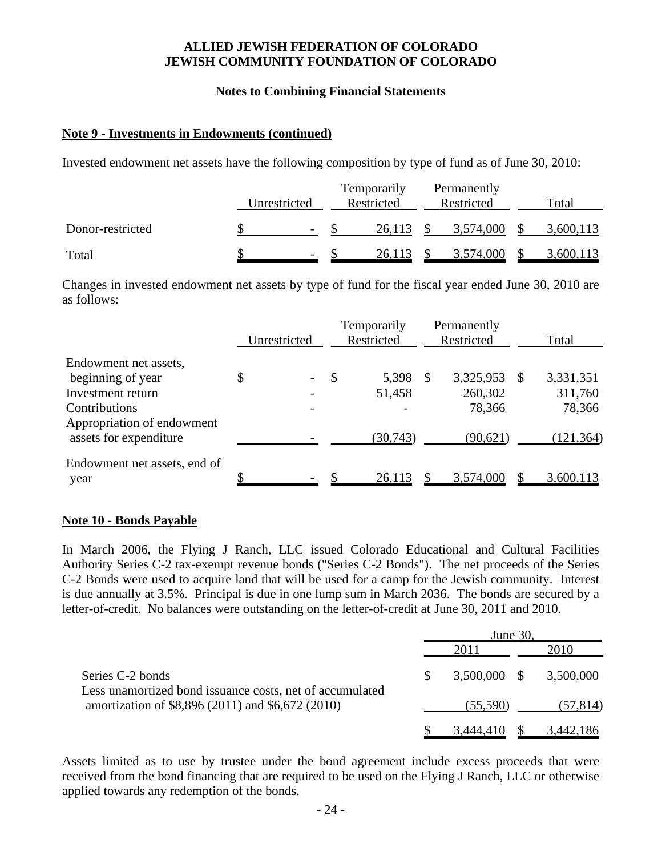#### **Notes to Combining Financial Statements**

## **Note 9 - Investments in Endowments (continued)**

Invested endowment net assets have the following composition by type of fund as of June 30, 2010:

|                  | Unrestricted             | Temporarily<br>Restricted | Permanently<br>Restricted | Total     |
|------------------|--------------------------|---------------------------|---------------------------|-----------|
| Donor-restricted | $\overline{\phantom{a}}$ | 26,113                    | 3,574,000                 | 3,600,113 |
| Total            | $\overline{\phantom{a}}$ | 26.113                    | 3,574,000                 | 3,600,113 |

Changes in invested endowment net assets by type of fund for the fiscal year ended June 30, 2010 are as follows:

|                                                      |              |                          | Temporarily   |            | Permanently |            |     |            |  |
|------------------------------------------------------|--------------|--------------------------|---------------|------------|-------------|------------|-----|------------|--|
|                                                      | Unrestricted |                          |               | Restricted |             | Restricted |     | Total      |  |
| Endowment net assets,                                |              |                          |               |            |             |            |     |            |  |
| beginning of year                                    | \$           | $\overline{\phantom{a}}$ | $\mathcal{S}$ | 5,398      | S           | 3,325,953  | -SS | 3,331,351  |  |
| Investment return                                    |              |                          |               | 51,458     |             | 260,302    |     | 311,760    |  |
| Contributions                                        |              | $\overline{\phantom{a}}$ |               |            |             | 78,366     |     | 78,366     |  |
| Appropriation of endowment<br>assets for expenditure |              |                          |               | (30, 743)  |             | (90,621)   |     | (121, 364) |  |
| Endowment net assets, end of<br>year                 |              |                          |               | 26,113     |             | 3,574,000  |     | 3,600,113  |  |

#### **Note 10 - Bonds Payable**

In March 2006, the Flying J Ranch, LLC issued Colorado Educational and Cultural Facilities Authority Series C-2 tax-exempt revenue bonds ("Series C-2 Bonds"). The net proceeds of the Series C-2 Bonds were used to acquire land that will be used for a camp for the Jewish community. Interest is due annually at 3.5%. Principal is due in one lump sum in March 2036. The bonds are secured by a letter-of-credit. No balances were outstanding on the letter-of-credit at June 30, 2011 and 2010.

|                                                                                                               | June 30,       |  |                  |  |  |
|---------------------------------------------------------------------------------------------------------------|----------------|--|------------------|--|--|
|                                                                                                               | 2011           |  | 2010             |  |  |
| Series C-2 bonds                                                                                              | $3,500,000$ \$ |  | 3,500,000        |  |  |
| Less unamortized bond issuance costs, net of accumulated<br>amortization of \$8,896 (2011) and \$6,672 (2010) | (55,590)       |  | (57, 814)        |  |  |
|                                                                                                               | 3,444,410      |  | <u>3,442,186</u> |  |  |

Assets limited as to use by trustee under the bond agreement include excess proceeds that were received from the bond financing that are required to be used on the Flying J Ranch, LLC or otherwise applied towards any redemption of the bonds.